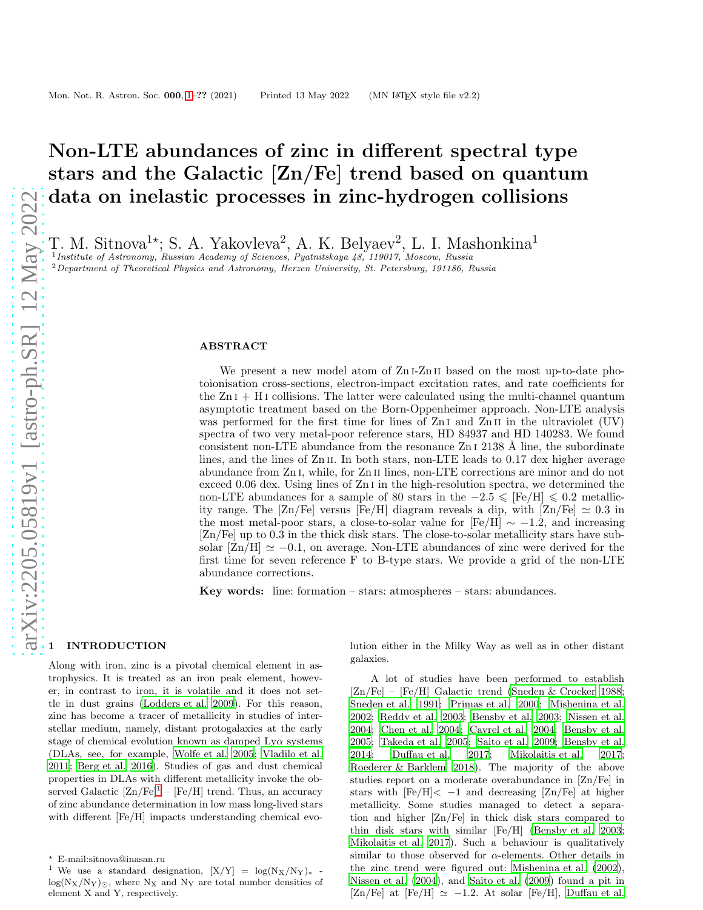# Non-LTE abundances of zinc in different spectral type stars and the Galactic [Zn/Fe] trend based on quantum data on inelastic processes in zinc-hydrogen collisions

T. M. Sitnova<sup>1\*</sup>; S. A. Yakovleva<sup>2</sup>, A. K. Belyaev<sup>2</sup>, L. I. Mashonkina<sup>1</sup><sup>1</sup>*Institute of Astronomy, Russian Academy of Sciences, Pyatnitskaya 48, 119017, Moscow, Russia* 

<sup>2</sup>Department of Theoretical Physics and Astronomy, Herzen University, St. Petersburg, 191186, Russia

## ABSTRACT

We present a new model atom of Zn<sub>I</sub>-Zn<sub>II</sub> based on the most up-to-date photoionisation cross-sections, electron-impact excitation rates, and rate coefficients for the  $Z_{\text{I}}$  i + H<sub>I</sub> collisions. The latter were calculated using the multi-channel quantum asymptotic treatment based on the Born-Oppenheimer approach. Non-LTE analysis was performed for the first time for lines of  $ZnI$  and  $ZnII$  in the ultraviolet (UV) spectra of two very metal-poor reference stars, HD 84937 and HD 140283. We found consistent non-LTE abundance from the resonance  $ZnI$  2138 Å line, the subordinate lines, and the lines of  $\text{Zn II}$ . In both stars, non-LTE leads to 0.17 dex higher average abundance from Zn i, while, for Zn ii lines, non-LTE corrections are minor and do not exceed 0.06 dex. Using lines of Zn i in the high-resolution spectra, we determined the non-LTE abundances for a sample of 80 stars in the  $-2.5 \leq$  [Fe/H]  $\leq 0.2$  metallicity range. The [Zn/Fe] versus [Fe/H] diagram reveals a dip, with [Zn/Fe]  $\simeq 0.3$  in the most metal-poor stars, a close-to-solar value for [Fe/H]  $\sim -1.2$ , and increasing [Zn/Fe] up to 0.3 in the thick disk stars. The close-to-solar metallicity stars have subsolar  $[Zn/H] \simeq -0.1$ , on average. Non-LTE abundances of zinc were derived for the first time for seven reference F to B-type stars. We provide a grid of the non-LTE abundance corrections.

Key words: line: formation – stars: atmospheres – stars: abundances.

#### <span id="page-0-0"></span>**INTRODUCTION**

Along with iron, zinc is a pivotal chemical element in astrophysics. It is treated as an iron peak element, however, in contrast to iron, it is volatile and it does not settle in dust grains [\(Lodders et al. 2009\)](#page-14-0). For this reason, zinc has become a tracer of metallicity in studies of interstellar medium, namely, distant protogalaxies at the early stage of chemical evolution known as damped  $Ly\alpha$  systems (DLAs, see, for example, [Wolfe et al. 2005](#page-14-1); [Vladilo et al.](#page-14-2) [2011](#page-14-2); [Berg et al. 2016](#page-13-0)). Studies of gas and dust chemical properties in DLAs with different metallicity invoke the observed Galactic  $[\text{Zn/Fe}]^1$  $[\text{Zn/Fe}]^1$  –  $[\text{Fe/H}]$  trend. Thus, an accuracy of zinc abundance determination in low mass long-lived stars with different [Fe/H] impacts understanding chemical evolution either in the Milky Way as well as in other distant galaxies.

A lot of studies have been performed to establish [Zn/Fe] – [Fe/H] Galactic trend [\(Sneden & Crocker 1988](#page-14-3); [Sneden et al. 1991;](#page-14-4) [Primas et al. 2000;](#page-14-5) [Mishenina et al.](#page-14-6) [2002](#page-14-6); [Reddy et al. 2003;](#page-14-7) [Bensby et al. 2003](#page-13-1); [Nissen et al.](#page-14-8) [2004](#page-14-8); [Chen et al. 2004;](#page-13-2) [Cayrel et al. 2004](#page-13-3); [Bensby et al.](#page-13-4) [2005](#page-13-4); [Takeda et al. 2005;](#page-14-9) [Saito et al. 2009](#page-14-10); [Bensby et al.](#page-13-5) [2014](#page-13-5); [Duffau et al. 2017](#page-13-6); [Mikolaitis et al. 2017](#page-14-11); [Roederer & Barklem 2018](#page-14-12)). The majority of the above studies report on a moderate overabundance in [Zn/Fe] in stars with  $[Fe/H] < -1$  and decreasing  $[Zn/Fe]$  at higher metallicity. Some studies managed to detect a separation and higher [Zn/Fe] in thick disk stars compared to thin disk stars with similar [Fe/H] [\(Bensby et al. 2003](#page-13-1); [Mikolaitis et al. 2017](#page-14-11)). Such a behaviour is qualitatively similar to those observed for  $\alpha$ -elements. Other details in the zinc trend were figured out: [Mishenina et al. \(2002](#page-14-6)), [Nissen et al. \(2004](#page-14-8)), and [Saito et al. \(2009](#page-14-10)) found a pit in [Zn/Fe] at [Fe/H]  $\simeq -1.2$ . At solar [Fe/H], [Duffau et al.](#page-13-6)

<sup>⋆</sup> E-mail:sitnova@inasan.ru

<span id="page-0-1"></span><sup>&</sup>lt;sup>1</sup> We use a standard designation,  $[X/Y] = \log(N_X/N_Y)$   $log(N_X/N_Y)_{\odot}$ , where  $N_X$  and  $N_Y$  are total number densities of element X and Y, respectively.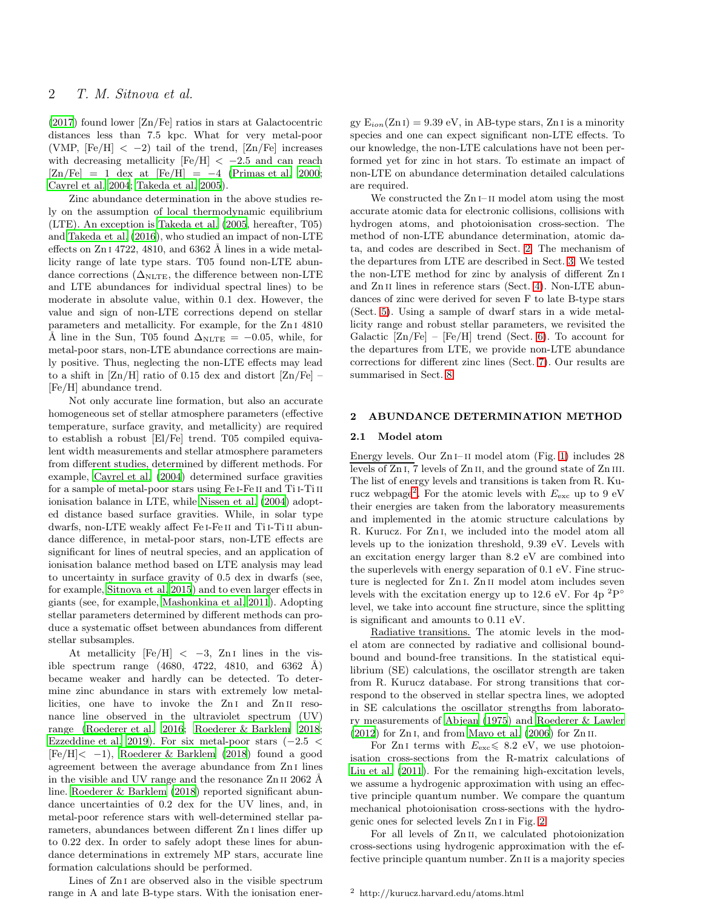[\(2017](#page-13-6)) found lower [Zn/Fe] ratios in stars at Galactocentric distances less than 7.5 kpc. What for very metal-poor (VMP,  $[Fe/H] < -2$ ) tail of the trend,  $[Zn/Fe]$  increases with decreasing metallicity  $[Fe/H] < -2.5$  and can reach  $[Zn/Fe] = 1$  dex at  $[Fe/H] = -4$  [\(Primas et al. 2000;](#page-14-5) [Cayrel et al. 2004](#page-13-3); [Takeda et al. 2005\)](#page-14-9).

Zinc abundance determination in the above studies rely on the assumption of local thermodynamic equilibrium (LTE). An exception is [Takeda et al. \(2005](#page-14-9), hereafter, T05) and [Takeda et al. \(2016\)](#page-14-13), who studied an impact of non-LTE effects on  $ZnI$  4722, 4810, and 6362 Å lines in a wide metallicity range of late type stars. T05 found non-LTE abundance corrections ( $\Delta_{NLTE}$ , the difference between non-LTE and LTE abundances for individual spectral lines) to be moderate in absolute value, within 0.1 dex. However, the value and sign of non-LTE corrections depend on stellar parameters and metallicity. For example, for the Zn i 4810 Å line in the Sun, T05 found  $\Delta_{NLTE} = -0.05$ , while, for metal-poor stars, non-LTE abundance corrections are mainly positive. Thus, neglecting the non-LTE effects may lead to a shift in  $[Zn/H]$  ratio of 0.15 dex and distort  $[Zn/Fe]$  – [Fe/H] abundance trend.

Not only accurate line formation, but also an accurate homogeneous set of stellar atmosphere parameters (effective temperature, surface gravity, and metallicity) are required to establish a robust [El/Fe] trend. T05 compiled equivalent width measurements and stellar atmosphere parameters from different studies, determined by different methods. For example, [Cayrel et al. \(2004\)](#page-13-3) determined surface gravities for a sample of metal-poor stars using Fe i-Fe ii and Ti i-Ti ii ionisation balance in LTE, while [Nissen et al. \(2004\)](#page-14-8) adopted distance based surface gravities. While, in solar type dwarfs, non-LTE weakly affect Fe i-Fe ii and Ti i-Ti ii abundance difference, in metal-poor stars, non-LTE effects are significant for lines of neutral species, and an application of ionisation balance method based on LTE analysis may lead to uncertainty in surface gravity of 0.5 dex in dwarfs (see, for example, [Sitnova et al. 2015](#page-14-14)) and to even larger effects in giants (see, for example, [Mashonkina et al. 2011\)](#page-14-15). Adopting stellar parameters determined by different methods can produce a systematic offset between abundances from different stellar subsamples.

At metallicity  $[Fe/H] < -3$ , Zn<sub>I</sub> lines in the visible spectrum range  $(4680, 4722, 4810, and 6362 \text{ Å})$ became weaker and hardly can be detected. To determine zinc abundance in stars with extremely low metallicities, one have to invoke the Zn<sub>I</sub> and Zn<sub>II</sub> resonance line observed in the ultraviolet spectrum (UV) range [\(Roederer et al. 2016](#page-14-16); [Roederer & Barklem 2018;](#page-14-12) [Ezzeddine et al. 2019](#page-13-7)). For six metal-poor stars  $(-2.5 <$  $[Fe/H] \le -1$ , [Roederer & Barklem \(2018](#page-14-12)) found a good agreement between the average abundance from Zn i lines in the visible and UV range and the resonance  $Zn$  II 2062 Å line. [Roederer & Barklem \(2018](#page-14-12)) reported significant abundance uncertainties of 0.2 dex for the UV lines, and, in metal-poor reference stars with well-determined stellar parameters, abundances between different Zn i lines differ up to 0.22 dex. In order to safely adopt these lines for abundance determinations in extremely MP stars, accurate line formation calculations should be performed.

Lines of  $ZnI$  are observed also in the visible spectrum range in A and late B-type stars. With the ionisation energy  $E_{ion}(Zn I) = 9.39$  eV, in AB-type stars, Zn I is a minority species and one can expect significant non-LTE effects. To our knowledge, the non-LTE calculations have not been performed yet for zinc in hot stars. To estimate an impact of non-LTE on abundance determination detailed calculations are required.

We constructed the Zn<sub>I</sub>-II model atom using the most accurate atomic data for electronic collisions, collisions with hydrogen atoms, and photoionisation cross-section. The method of non-LTE abundance determination, atomic data, and codes are described in Sect. [2.](#page-1-0) The mechanism of the departures from LTE are described in Sect. [3.](#page-5-0) We tested the non-LTE method for zinc by analysis of different Zn i and Zn<sub>II</sub> lines in reference stars (Sect. [4\)](#page-6-0). Non-LTE abundances of zinc were derived for seven F to late B-type stars (Sect. [5\)](#page-8-0). Using a sample of dwarf stars in a wide metallicity range and robust stellar parameters, we revisited the Galactic  $[Zn/Fe] - [Fe/H]$  trend (Sect. [6\)](#page-9-0). To account for the departures from LTE, we provide non-LTE abundance corrections for different zinc lines (Sect. [7\)](#page-10-0). Our results are summarised in Sect. [8.](#page-12-0)

## <span id="page-1-2"></span><span id="page-1-0"></span>2 ABUNDANCE DETERMINATION METHOD

## 2.1 Model atom

Energy levels. Our Zn<sub>I</sub>-II model atom (Fig. [1\)](#page-2-0) includes 28 levels of Zn<sub>I</sub>, 7 levels of Zn<sub>II</sub>, and the ground state of Zn<sub>III</sub>. The list of energy levels and transitions is taken from R. Ku-rucz webpage<sup>[2](#page-1-1)</sup>. For the atomic levels with  $E_{\text{exc}}$  up to 9 eV their energies are taken from the laboratory measurements and implemented in the atomic structure calculations by R. Kurucz. For Zn i, we included into the model atom all levels up to the ionization threshold, 9.39 eV. Levels with an excitation energy larger than 8.2 eV are combined into the superlevels with energy separation of 0.1 eV. Fine structure is neglected for Zn<sub>I</sub>. Zn<sub>II</sub> model atom includes seven levels with the excitation energy up to 12.6 eV. For  $4p^2P^{\circ}$ level, we take into account fine structure, since the splitting is significant and amounts to 0.11 eV.

Radiative transitions. The atomic levels in the model atom are connected by radiative and collisional boundbound and bound-free transitions. In the statistical equilibrium (SE) calculations, the oscillator strength are taken from R. Kurucz database. For strong transitions that correspond to the observed in stellar spectra lines, we adopted in SE calculations the oscillator strengths from laboratory measurements of [Abjean \(1975](#page-13-8)) and [Roederer & Lawler](#page-14-17)  $(2012)$  $(2012)$  for Zn<sub>I</sub>, and from Mayo et al.  $(2006)$  for Zn<sub>II</sub>.

For Zn<sub>I</sub> terms with  $E_{\text{exc}} \leq 8.2$  eV, we use photoionisation cross-sections from the R-matrix calculations of [Liu et al. \(2011](#page-14-19)). For the remaining high-excitation levels, we assume a hydrogenic approximation with using an effective principle quantum number. We compare the quantum mechanical photoionisation cross-sections with the hydrogenic ones for selected levels Zn i in Fig. [2.](#page-2-1)

For all levels of Zn<sub>II</sub>, we calculated photoionization cross-sections using hydrogenic approximation with the effective principle quantum number. Zn ii is a majority species

<span id="page-1-1"></span><sup>2</sup> http://kurucz.harvard.edu/atoms.html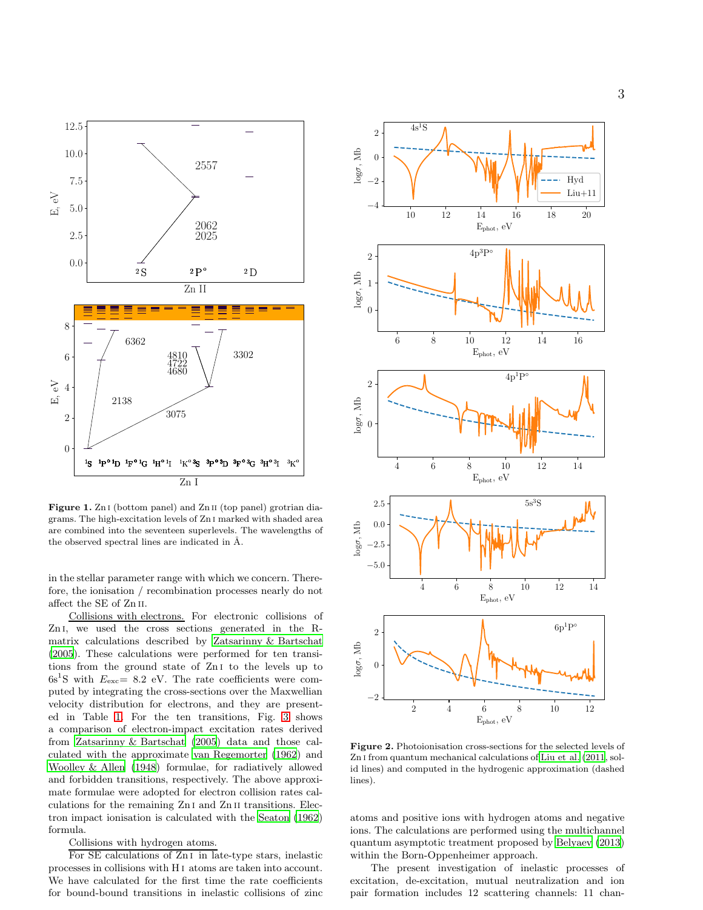<span id="page-2-0"></span>

Figure 1. Zn i (bottom panel) and Zn ii (top panel) grotrian diagrams. The high-excitation levels of Zn i marked with shaded area are combined into the seventeen superlevels. The wavelengths of the observed spectral lines are indicated in Å.

in the stellar parameter range with which we concern. Therefore, the ionisation / recombination processes nearly do not affect the SE of Zn ii.

Collisions with electrons. For electronic collisions of Zn<sub>I</sub>, we used the cross sections generated in the Rmatrix calculations described by [Zatsarinny & Bartschat](#page-14-20) [\(2005](#page-14-20)). These calculations were performed for ten transitions from the ground state of Zn i to the levels up to  $6s<sup>1</sup>S$  with  $E<sub>exc</sub> = 8.2$  eV. The rate coefficients were computed by integrating the cross-sections over the Maxwellian velocity distribution for electrons, and they are presented in Table [1.](#page-3-0) For the ten transitions, Fig. [3](#page-3-1) shows a comparison of electron-impact excitation rates derived from [Zatsarinny & Bartschat \(2005\)](#page-14-20) data and those calculated with the approximate [van Regemorter \(1962](#page-14-21)) and [Woolley & Allen \(1948](#page-14-22)) formulae, for radiatively allowed and forbidden transitions, respectively. The above approximate formulae were adopted for electron collision rates calculations for the remaining Zn i and Zn ii transitions. Electron impact ionisation is calculated with the [Seaton \(1962](#page-14-23)) formula.

## Collisions with hydrogen atoms.

For SE calculations of Zn<sub>I</sub> in late-type stars, inelastic processes in collisions with H i atoms are taken into account. We have calculated for the first time the rate coefficients for bound-bound transitions in inelastic collisions of zinc

<span id="page-2-1"></span>

Figure 2. Photoionisation cross-sections for the selected levels of Zn i from quantum mechanical calculations of [Liu et al. \(2011](#page-14-19), solid lines) and computed in the hydrogenic approximation (dashed lines).

atoms and positive ions with hydrogen atoms and negative ions. The calculations are performed using the multichannel quantum asymptotic treatment proposed by [Belyaev \(2013](#page-13-9)) within the Born-Oppenheimer approach.

The present investigation of inelastic processes of excitation, de-excitation, mutual neutralization and ion pair formation includes 12 scattering channels: 11 chan-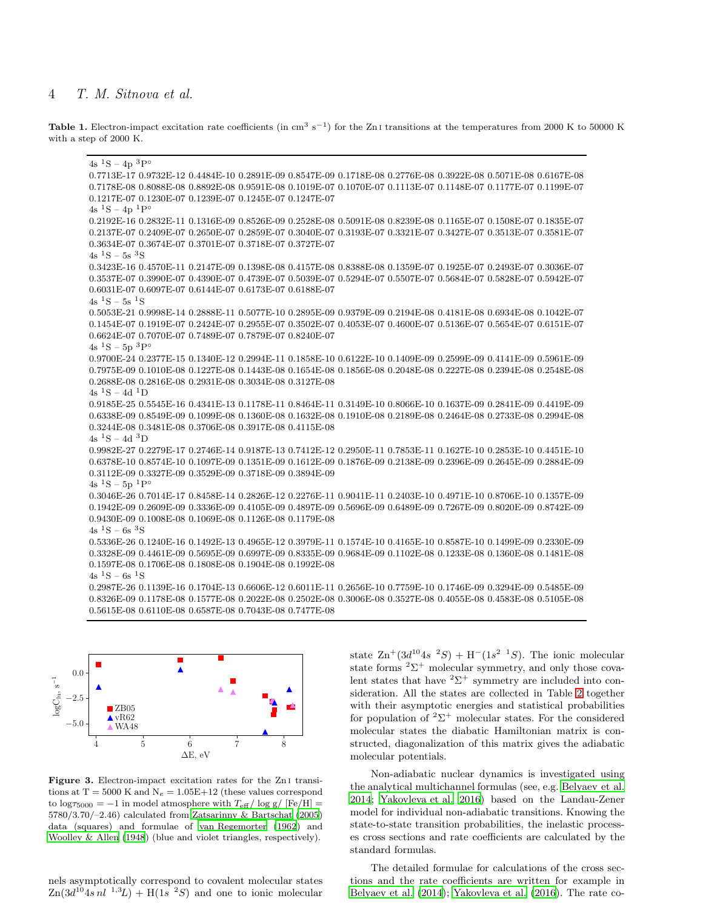## <span id="page-3-0"></span>4 T. M. Sitnova et al.

Table 1. Electron-impact excitation rate coefficients (in cm<sup>3</sup> s<sup>-1</sup>) for the Zn<sub>I</sub> transitions at the temperatures from 2000 K to 50000 K with a step of 2000 K.

 $4s<sup>1</sup>S - 4p<sup>3</sup>P<sup>°</sup>$ 0.7713E-17 0.9732E-12 0.4484E-10 0.2891E-09 0.8547E-09 0.1718E-08 0.2776E-08 0.3922E-08 0.5071E-08 0.6167E-08 0.7178E-08 0.8088E-08 0.8892E-08 0.9591E-08 0.1019E-07 0.1070E-07 0.1113E-07 0.1148E-07 0.1177E-07 0.1199E-07 0.1217E-07 0.1230E-07 0.1239E-07 0.1245E-07 0.1247E-07  $4s<sup>1</sup>S - 4p<sup>1</sup>P°$ 0.2192E-16 0.2832E-11 0.1316E-09 0.8526E-09 0.2528E-08 0.5091E-08 0.8239E-08 0.1165E-07 0.1508E-07 0.1835E-07 0.2137E-07 0.2409E-07 0.2650E-07 0.2859E-07 0.3040E-07 0.3193E-07 0.3321E-07 0.3427E-07 0.3513E-07 0.3581E-07 0.3634E-07 0.3674E-07 0.3701E-07 0.3718E-07 0.3727E-07  $4s<sup>1</sup>S - 5s<sup>3</sup>S$ 0.3423E-16 0.4570E-11 0.2147E-09 0.1398E-08 0.4157E-08 0.8388E-08 0.1359E-07 0.1925E-07 0.2493E-07 0.3036E-07 0.3537E-07 0.3990E-07 0.4390E-07 0.4739E-07 0.5039E-07 0.5294E-07 0.5507E-07 0.5684E-07 0.5828E-07 0.5942E-07 0.6031E-07 0.6097E-07 0.6144E-07 0.6173E-07 0.6188E-07  $4s<sup>1</sup>S - 5s<sup>1</sup>S$ 0.5053E-21 0.9998E-14 0.2888E-11 0.5077E-10 0.2895E-09 0.9379E-09 0.2194E-08 0.4181E-08 0.6934E-08 0.1042E-07 0.1454E-07 0.1919E-07 0.2424E-07 0.2955E-07 0.3502E-07 0.4053E-07 0.4600E-07 0.5136E-07 0.5654E-07 0.6151E-07 0.6624E-07 0.7070E-07 0.7489E-07 0.7879E-07 0.8240E-07  $4s~^1S - 5p~^3P^{\circ}$ 0.9700E-24 0.2377E-15 0.1340E-12 0.2994E-11 0.1858E-10 0.6122E-10 0.1409E-09 0.2599E-09 0.4141E-09 0.5961E-09 0.7975E-09 0.1010E-08 0.1227E-08 0.1443E-08 0.1654E-08 0.1856E-08 0.2048E-08 0.2227E-08 0.2394E-08 0.2548E-08 0.2688E-08 0.2816E-08 0.2931E-08 0.3034E-08 0.3127E-08  $4s<sup>1</sup>S - 4d<sup>1</sup>D$ 0.9185E-25 0.5545E-16 0.4341E-13 0.1178E-11 0.8464E-11 0.3149E-10 0.8066E-10 0.1637E-09 0.2841E-09 0.4419E-09 0.6338E-09 0.8549E-09 0.1099E-08 0.1360E-08 0.1632E-08 0.1910E-08 0.2189E-08 0.2464E-08 0.2733E-08 0.2994E-08 0.3244E-08 0.3481E-08 0.3706E-08 0.3917E-08 0.4115E-08  $4\mathrm{s}$   $^1\mathrm{S}$  –  $4\mathrm{d}$   $^3\mathrm{D}$ 0.9982E-27 0.2279E-17 0.2746E-14 0.9187E-13 0.7412E-12 0.2950E-11 0.7853E-11 0.1627E-10 0.2853E-10 0.4451E-10 0.6378E-10 0.8574E-10 0.1097E-09 0.1351E-09 0.1612E-09 0.1876E-09 0.2138E-09 0.2396E-09 0.2645E-09 0.2884E-09 0.3112E-09 0.3327E-09 0.3529E-09 0.3718E-09 0.3894E-09  $4s\ ^1S - 5p\ ^1P^{\circ}$ 0.3046E-26 0.7014E-17 0.8458E-14 0.2826E-12 0.2276E-11 0.9041E-11 0.2403E-10 0.4971E-10 0.8706E-10 0.1357E-09 0.1942E-09 0.2609E-09 0.3336E-09 0.4105E-09 0.4897E-09 0.5696E-09 0.6489E-09 0.7267E-09 0.8020E-09 0.8742E-09 0.9430E-09 0.1008E-08 0.1069E-08 0.1126E-08 0.1179E-08  $4s<sup>1</sup>S - 6s<sup>3</sup>S$ 0.5336E-26 0.1240E-16 0.1492E-13 0.4965E-12 0.3979E-11 0.1574E-10 0.4165E-10 0.8587E-10 0.1499E-09 0.2330E-09 0.3328E-09 0.4461E-09 0.5695E-09 0.6997E-09 0.8335E-09 0.9684E-09 0.1102E-08 0.1233E-08 0.1360E-08 0.1481E-08 0.1597E-08 0.1706E-08 0.1808E-08 0.1904E-08 0.1992E-08  $4s<sup>1</sup>S - 6s<sup>1</sup>S$ 0.2987E-26 0.1139E-16 0.1704E-13 0.6606E-12 0.6011E-11 0.2656E-10 0.7759E-10 0.1746E-09 0.3294E-09 0.5485E-09 0.8326E-09 0.1178E-08 0.1577E-08 0.2022E-08 0.2502E-08 0.3006E-08 0.3527E-08 0.4055E-08 0.4583E-08 0.5105E-08 0.5615E-08 0.6110E-08 0.6587E-08 0.7043E-08 0.7477E-08

<span id="page-3-1"></span>

Figure 3. Electron-impact excitation rates for the Zn<sub>I</sub> transitions at  $T = 5000$  K and  $N_e = 1.05E+12$  (these values correspond to  $\log \tau_{5000} = -1$  in model atmosphere with  $T_{\text{eff}} / \log g / [Fe/H] =$ 5780/3.70/–2.46) calculated from [Zatsarinny & Bartschat \(2005\)](#page-14-20) data (squares) and formulae of [van Regemorter \(1962](#page-14-21)) and [Woolley & Allen \(1948](#page-14-22)) (blue and violet triangles, respectively).

nels asymptotically correspond to covalent molecular states  $\text{Zn}(3d^{10}4s\,nl^{-1,3}L) + \text{H}(1s^{-2}S)$  and one to ionic molecular

state  $\text{Zn}^+(3d^{10}4s^{-2}S) + \text{H}^-(1s^{2-1}S)$ . The ionic molecular state forms  ${}^{2}\Sigma^{+}$  molecular symmetry, and only those covalent states that have  ${}^{2}\Sigma^{+}$  symmetry are included into consideration. All the states are collected in Table [2](#page-4-0) together with their asymptotic energies and statistical probabilities for population of  ${}^{2}\Sigma^{+}$  molecular states. For the considered molecular states the diabatic Hamiltonian matrix is constructed, diagonalization of this matrix gives the adiabatic molecular potentials.

Non-adiabatic nuclear dynamics is investigated using the analytical multichannel formulas (see, e.g. [Belyaev et](#page-13-10) al. [2014](#page-13-10); [Yakovleva et al. 2016\)](#page-14-24) based on the Landau-Zener model for individual non-adiabatic transitions. Knowing the state-to-state transition probabilities, the inelastic processes cross sections and rate coefficients are calculated by the standard formulas.

The detailed formulae for calculations of the cross sections and the rate coefficients are written for example in [Belyaev et al. \(2014](#page-13-10)); [Yakovleva et al. \(2016](#page-14-24)). The rate co-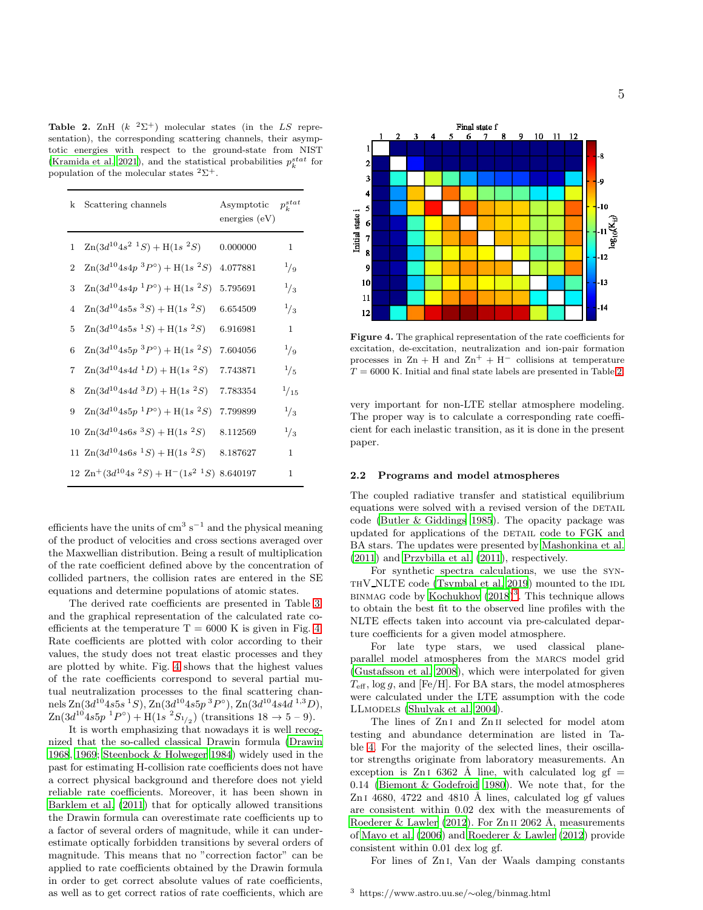<span id="page-4-0"></span>Table 2. ZnH  $(k^{-2}\Sigma^{+})$  molecular states (in the LS representation), the corresponding scattering channels, their asymptotic energies with respect to the ground-state from NIST [\(Kramida et al. 2021\)](#page-14-25), and the statistical probabilities  $p_k^{stat}$  for population of the molecular states  ${}^{2}\Sigma^{+}$ .

| k              | Scattering channels                                                | Asymptotic<br>energies $(eV)$ | $p_{k}^{stat}$ |
|----------------|--------------------------------------------------------------------|-------------------------------|----------------|
| 1              | $\text{Zn}(3d^{10}4s^2 \text{ }^1S) + \text{H}(1s \text{ }^2S)$    | 0.000000                      | 1              |
| $\overline{2}$ | $\text{Zn}(3d^{10}4s4p~^3P^{\circ}) + \text{H}(1s~^2S)$            | 4.077881                      | $^{1}/_{9}$    |
| 3              | $\text{Zn}(3d^{10}4s4p~^1P^{\circ}) + \text{H}(1s~^2S)$            | 5.795691                      | $^{1}/_{3}$    |
| $\overline{4}$ | $\text{Zn}(3d^{10}4s5s~^3S) + \text{H}(1s~^2S)$                    | 6.654509                      | $^{1/3}$       |
| 5              | $\text{Zn}(3d^{10}4s5s~^1S) + \text{H}(1s~^2S)$                    | 6.916981                      | 1              |
| 6              | $\text{Zn}(3d^{10}4s5p~^3P^{\circ}) + \text{H}(1s~^2S)$            | 7.604056                      | $^{1}/_{9}$    |
| 7              | $\text{Zn}(3d^{10}4s4d \;^1D) + \text{H}(1s \;^2S)$                | 7.743871                      | $^{1}/_{5}$    |
| 8              | $\text{Zn}(3d^{10}4s4d~^3D) + \text{H}(1s~^2S)$                    | 7.783354                      | $^{1}/_{15}$   |
| 9              | $\text{Zn}(3d^{10}4s5p~^1P^{\circ}) + \text{H}(1s~^2S)$            | 7.799899                      | $^{1/3}$       |
|                | 10 $\text{Zn}(3d^{10}4s6s~^3S) + \text{H}(1s~^2S)$                 | 8.112569                      | $^{1/3}$       |
|                | 11 $\text{Zn}(3d^{10}4s6s~^1S) + \text{H}(1s~^2S)$                 | 8.187627                      | 1              |
|                | $12 \text{ Zn}^+(3d^{10}4s~^2S) + \text{H}^-(1s^{2}~^1S)$ 8.640197 |                               | 1              |

efficients have the units of  $\text{cm}^3 \text{ s}^{-1}$  and the physical meaning of the product of velocities and cross sections averaged over the Maxwellian distribution. Being a result of multiplication of the rate coefficient defined above by the concentration of collided partners, the collision rates are entered in the SE equations and determine populations of atomic states.

The derived rate coefficients are presented in Table [3,](#page-5-1) and the graphical representation of the calculated rate coefficients at the temperature  $T = 6000$  K is given in Fig. [4.](#page-4-1) Rate coefficients are plotted with color according to their values, the study does not treat elastic processes and they are plotted by white. Fig. [4](#page-4-1) shows that the highest values of the rate coefficients correspond to several partial mutual neutralization processes to the final scattering channels Zn $(3d^{10}4s5s\ ^1S)$ , Zn $(3d^{10}4s5p\ ^3P^{\circ})$ , Zn $(3d^{10}4s4d\ ^1,3D)$ ,  $\text{Zn}(3d^{10}4s5p~^1P^{\circ}) + \text{H}(1s~^2S_{1/2})$  (transitions  $18 \to 5-9$ ).

It is worth emphasizing that nowadays it is well recognized that the so-called classical Drawin formula [\(Drawin](#page-13-11) [1968](#page-13-11), [1969](#page-13-12); [Steenbock & Holweger 1984\)](#page-14-26) widely used in the past for estimating H-collision rate coefficients does not have a correct physical background and therefore does not yield reliable rate coefficients. Moreover, it has been shown in [Barklem et al. \(2011](#page-13-13)) that for optically allowed transitions the Drawin formula can overestimate rate coefficients up to a factor of several orders of magnitude, while it can underestimate optically forbidden transitions by several orders of magnitude. This means that no "correction factor" can be applied to rate coefficients obtained by the Drawin formula in order to get correct absolute values of rate coefficients, as well as to get correct ratios of rate coefficients, which are

<span id="page-4-1"></span>

Figure 4. The graphical representation of the rate coefficients for excitation, de-excitation, neutralization and ion-pair formation processes in  $\text{Zn} + \text{H}$  and  $\text{Zn}^+ + \text{H}^-$  collisions at temperature  $T=6000$  K. Initial and final state labels are presented in Table [2.](#page-4-0)  $\,$ 

very important for non-LTE stellar atmosphere modeling. The proper way is to calculate a corresponding rate coefficient for each inelastic transition, as it is done in the present paper.

#### 2.2 Programs and model atmospheres

The coupled radiative transfer and statistical equilibrium equations were solved with a revised version of the DETAIL code [\(Butler & Giddings 1985](#page-13-14)). The opacity package was updated for applications of the DETAIL code to FGK and BA stars. The updates were presented by [Mashonkina et al.](#page-14-15) [\(2011](#page-14-15)) and [Przybilla et al. \(2011](#page-14-27)), respectively.

For synthetic spectra calculations, we use the syn- $THV_NLTE$  code [\(Tsymbal et al. 2019](#page-14-28)) mounted to the  $IDL$ BINMAG code by Kochukhov  $(2018)^3$  $(2018)^3$ . This technique allows to obtain the best fit to the observed line profiles with the NLTE effects taken into account via pre-calculated departure coefficients for a given model atmosphere.

For late type stars, we used classical planeparallel model atmospheres from the MARCS model grid [\(Gustafsson et al. 2008](#page-14-30)), which were interpolated for given  $T_{\text{eff}}$ , log q, and [Fe/H]. For BA stars, the model atmospheres were calculated under the LTE assumption with the code LLmodels [\(Shulyak et al. 2004](#page-14-31)).

The lines of Zn i and Zn ii selected for model atom testing and abundance determination are listed in Table [4.](#page-6-1) For the majority of the selected lines, their oscillator strengths originate from laboratory measurements. An exception is  $Z_{n}$  is 6362 Å line, with calculated log gf = 0.14 [\(Biemont & Godefroid 1980](#page-13-15)). We note that, for the  $ZnI$  4680, 4722 and 4810 Å lines, calculated log gf values are consistent within 0.02 dex with the measurements of [Roederer & Lawler \(2012\)](#page-14-17). For Zn II 2062 Å, measurements of [Mayo et al. \(2006](#page-14-18)) and [Roederer & Lawler \(2012](#page-14-17)) provide consistent within 0.01 dex log gf.

<span id="page-4-2"></span>For lines of Zn i, Van der Waals damping constants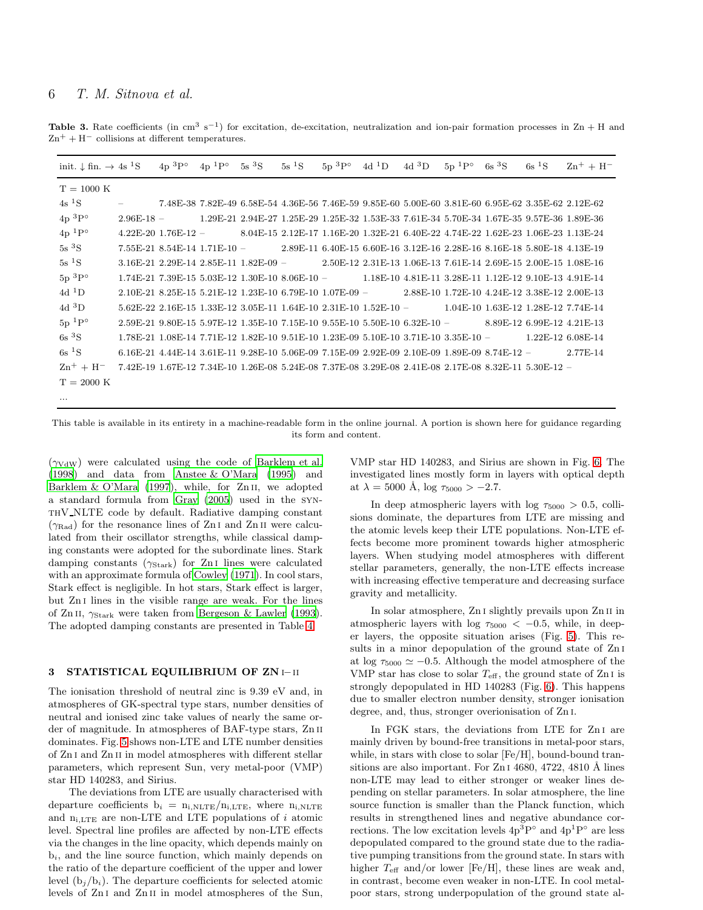<span id="page-5-1"></span>Table 3. Rate coefficients (in cm<sup>3</sup> s<sup>-1</sup>) for excitation, de-excitation, neutralization and ion-pair formation processes in Zn + H and  $\rm Zn^+ + H^-$  collisions at different temperatures.

| init. $\downarrow$ fin. $\rightarrow$ 4s <sup>1</sup> S |              | $4p^{3}P^{\circ}$                                                                                    | $4p^{1}P^{\circ}$ | $5s~^{3}S$ | $5s$ <sup>1</sup> S | $5p~^3P^{\circ}$ | $4d^1D$ | $4d~^3D$ | $5p^{1}P^{\circ}$ | 6s <sup>3</sup> S | 6s <sup>1</sup> S | $Zn^{+} + H^{-}$                                                                                                          |
|---------------------------------------------------------|--------------|------------------------------------------------------------------------------------------------------|-------------------|------------|---------------------|------------------|---------|----------|-------------------|-------------------|-------------------|---------------------------------------------------------------------------------------------------------------------------|
| $T = 1000 \text{ K}$                                    |              |                                                                                                      |                   |            |                     |                  |         |          |                   |                   |                   |                                                                                                                           |
| 4s <sup>1</sup> S                                       |              |                                                                                                      |                   |            |                     |                  |         |          |                   |                   |                   | 7.48E-38 7.82E-49 6.58E-54 4.36E-56 7.46E-59 9.85E-60 5.00E-60 3.81E-60 6.95E-62 3.35E-62 2.12E-62                        |
| $4p~^3P^{\circ}$                                        | $2.96E-18$ - |                                                                                                      |                   |            |                     |                  |         |          |                   |                   |                   | 1.29E-21 2.94E-27 1.25E-29 1.25E-32 1.53E-33 7.61E-34 5.70E-34 1.67E-35 9.57E-36 1.89E-36                                 |
| $4p^{1}P^{\circ}$                                       |              |                                                                                                      |                   |            |                     |                  |         |          |                   |                   |                   | $4.22E-20$ $1.76E-12$ - 8.04E-15 2.12E-17 1.16E-20 1.32E-21 6.40E-22 4.74E-22 1.62E-23 1.06E-23 1.13E-24                  |
| 5s <sup>3</sup> S                                       |              |                                                                                                      |                   |            |                     |                  |         |          |                   |                   |                   | 7.55E-21 8.54E-14 1.71E-10 - 2.89E-11 6.40E-15 6.60E-16 3.12E-16 2.28E-16 8.16E-18 5.80E-18 4.13E-19                      |
| 5s <sup>1</sup> S                                       |              |                                                                                                      |                   |            |                     |                  |         |          |                   |                   |                   | 3.16E-21 2.29E-14 2.85E-11 1.82E-09 - 2.50E-12 2.31E-13 1.06E-13 7.61E-14 2.69E-15 2.00E-15 1.08E-16                      |
| $5p~^3P^{\circ}$                                        |              |                                                                                                      |                   |            |                     |                  |         |          |                   |                   |                   | $1.74E-21$ $7.39E-15$ $5.03E-12$ $1.30E-10$ $8.06E-10$ $ 1.18E-10$ $4.81E-11$ $3.28E-11$ $1.12E-12$ $9.10E-13$ $4.91E-14$ |
| 4d ${}^{1}D$                                            |              |                                                                                                      |                   |            |                     |                  |         |          |                   |                   |                   | 2.10E-21 8.25E-15 5.21E-12 1.23E-10 6.79E-10 1.07E-09 - 2.88E-10 1.72E-10 4.24E-12 3.38E-12 2.00E-13                      |
| $4d$ <sup>3</sup> D                                     |              |                                                                                                      |                   |            |                     |                  |         |          |                   |                   |                   | $5.62E-22$ $2.16E-15$ $1.33E-12$ $3.05E-11$ $1.64E-10$ $2.31E-10$ $1.52E-10$ $ 1.04E-10$ $1.63E-12$ $1.28E-12$ $7.74E-14$ |
| $5p~^1P^{\circ}$                                        |              |                                                                                                      |                   |            |                     |                  |         |          |                   |                   |                   | $2.59E-21$ $9.80E-15$ $5.97E-12$ $1.35E-10$ $7.15E-10$ $9.55E-10$ $5.50E-10$ $6.32E-10$ $ 8.89E-12$ $6.99E-12$ $4.21E-13$ |
| 6s <sup>3</sup> S                                       |              |                                                                                                      |                   |            |                     |                  |         |          |                   |                   |                   | $1.78E-21$ $1.08E-14$ $7.71E-12$ $1.82E-10$ $9.51E-10$ $1.23E-09$ $5.10E-10$ $3.71E-10$ $3.35E-10$ $ 1.22E-12$ $6.08E-14$ |
| 6s <sup>1</sup> S                                       |              |                                                                                                      |                   |            |                     |                  |         |          |                   |                   |                   | 6.16E-21 4.44E-14 3.61E-11 9.28E-10 5.06E-09 7.15E-09 2.92E-09 2.10E-09 1.89E-09 8.74E-12 - 2.77E-14                      |
| $Zn^{+} + H^{-}$                                        |              | 7.42E-19 1.67E-12 7.34E-10 1.26E-08 5.24E-08 7.37E-08 3.29E-08 2.41E-08 2.17E-08 8.32E-11 5.30E-12 - |                   |            |                     |                  |         |          |                   |                   |                   |                                                                                                                           |
| $T = 2000 \text{ K}$                                    |              |                                                                                                      |                   |            |                     |                  |         |          |                   |                   |                   |                                                                                                                           |
| $\cdots$                                                |              |                                                                                                      |                   |            |                     |                  |         |          |                   |                   |                   |                                                                                                                           |

This table is available in its entirety in a machine-readable form in the online journal. A portion is shown here for guidance regarding its form and content.

 $(\gamma_{\text{VdW}})$  were calculated using the code of [Barklem et al.](#page-13-16) [\(1998](#page-13-16)) and data from [Anstee & O'Mara \(1995](#page-13-17)) and Barklem  $& O'Mara$  (1997), while, for Zn<sub>II</sub>, we adopted a standard formula from [Gray \(2005\)](#page-14-32) used in the synthV NLTE code by default. Radiative damping constant  $(\gamma_{\rm Rad})$  for the resonance lines of Zn I and Zn II were calculated from their oscillator strengths, while classical damping constants were adopted for the subordinate lines. Stark damping constants  $(\gamma_{\text{Stark}})$  for Zn<sub>I</sub> lines were calculated with an approximate formula of [Cowley \(1971](#page-13-19)). In cool stars, Stark effect is negligible. In hot stars, Stark effect is larger, but Zn<sub>I</sub> lines in the visible range are weak. For the lines of Zn II,  $\gamma_{\text{Stark}}$  were taken from [Bergeson & Lawler \(1993](#page-13-20)). The adopted damping constants are presented in Table [4.](#page-6-1)

## <span id="page-5-0"></span>3 STATISTICAL EQUILIBRIUM OF ZN i– ii

The ionisation threshold of neutral zinc is 9.39 eV and, in atmospheres of GK-spectral type stars, number densities of neutral and ionised zinc take values of nearly the same order of magnitude. In atmospheres of BAF-type stars, Zn ii dominates. Fig. [5](#page-7-0) shows non-LTE and LTE number densities of Zn i and Zn ii in model atmospheres with different stellar parameters, which represent Sun, very metal-poor (VMP) star HD 140283, and Sirius.

The deviations from LTE are usually characterised with departure coefficients  $b_i = n_{i,NLTE}/n_{i,LTE}$ , where  $n_{i,NLTE}$ and  $\mathbf{n}_{\text{i},\text{LTE}}$  are non-LTE and LTE populations of  $i$  atomic level. Spectral line profiles are affected by non-LTE effects via the changes in the line opacity, which depends mainly on  $b_i$ , and the line source function, which mainly depends on the ratio of the departure coefficient of the upper and lower level  $(b_i/b_i)$ . The departure coefficients for selected atomic levels of Zn i and Zn ii in model atmospheres of the Sun,

VMP star HD 140283, and Sirius are shown in Fig. [6.](#page-7-1) The investigated lines mostly form in layers with optical depth at  $\lambda = 5000 \text{ Å}, \log \tau_{5000} > -2.7.$ 

In deep atmospheric layers with  $log \tau_{5000} > 0.5$ , collisions dominate, the departures from LTE are missing and the atomic levels keep their LTE populations. Non-LTE effects become more prominent towards higher atmospheric layers. When studying model atmospheres with different stellar parameters, generally, the non-LTE effects increase with increasing effective temperature and decreasing surface gravity and metallicity.

In solar atmosphere, Zn i slightly prevails upon Zn ii in atmospheric layers with log  $\tau_{5000} < -0.5$ , while, in deeper layers, the opposite situation arises (Fig. [5\)](#page-7-0). This results in a minor depopulation of the ground state of Zn i at log  $\tau_{5000} \simeq -0.5$ . Although the model atmosphere of the VMP star has close to solar  $T_{\text{eff}}$ , the ground state of Zn<sub>I</sub> is strongly depopulated in HD 140283 (Fig. [6\)](#page-7-1). This happens due to smaller electron number density, stronger ionisation degree, and, thus, stronger overionisation of Zn i.

In FGK stars, the deviations from LTE for Zn<sub>I</sub> are mainly driven by bound-free transitions in metal-poor stars, while, in stars with close to solar [Fe/H], bound-bound transitions are also important. For  $ZnI$  4680, 4722, 4810 Å lines non-LTE may lead to either stronger or weaker lines depending on stellar parameters. In solar atmosphere, the line source function is smaller than the Planck function, which results in strengthened lines and negative abundance corrections. The low excitation levels  $4p^3P^{\circ}$  and  $4p^1P^{\circ}$  are less depopulated compared to the ground state due to the radiative pumping transitions from the ground state. In stars with higher  $T_{\text{eff}}$  and/or lower [Fe/H], these lines are weak and, in contrast, become even weaker in non-LTE. In cool metalpoor stars, strong underpopulation of the ground state al-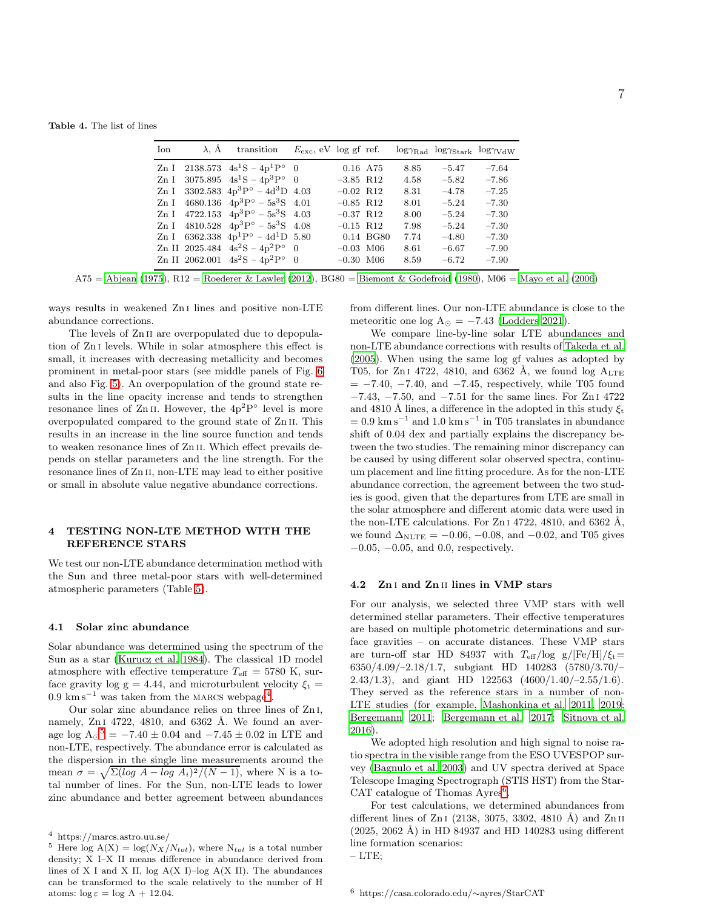<span id="page-6-1"></span>

| Ion | $\lambda$ , $\dot{A}$ transition               | $E_{\rm exc}$ , eV log gf ref. |                         |           |      | $log\gamma_{\rm Rad}$ $log\gamma_{\rm Stark}$ $log\gamma_{\rm VdW}$ |         |
|-----|------------------------------------------------|--------------------------------|-------------------------|-----------|------|---------------------------------------------------------------------|---------|
|     | Zn I 2138.573 $4s^1S - 4p^1P^{\circ} = 0$      |                                | 0.16 A75                |           | 8.85 | $-5.47$                                                             | $-7.64$ |
|     | Zn I 3075.895 $4s^1S - 4p^3P^{\circ} = 0$      |                                | $-3.85$ R12             |           | 4.58 | $-5.82$                                                             | $-7.86$ |
|     | Zn I 3302.583 $4p^3P^{\circ} - 4d^3D$ 4.03     |                                | $-0.02$ R <sub>12</sub> |           | 8.31 | $-4.78$                                                             | $-7.25$ |
|     | Zn I $4680.136$ $4p^3P^{\circ} - 5s^3S$ 4.01   |                                | $-0.85$ R12             |           | 8.01 | $-5.24$                                                             | $-7.30$ |
|     | Zn I 4722.153 $4p^3P^{\circ} - 5s^3S$ 4.03     |                                | $-0.37$ R12             |           | 8.00 | $-5.24$                                                             | $-7.30$ |
|     | Zn I $4810.528$ $4p^3P^{\circ} - 5s^3S$ $4.08$ |                                | $-0.15$ R12             |           | 7.98 | $-5.24$                                                             | $-7.30$ |
|     | Zn I 6362.338 $4p^1P^{\circ} - 4d^1D$ 5.80     |                                |                         | 0.14 BG80 | 7.74 | $-4.80$                                                             | $-7.30$ |
|     | Zn II 2025.484 $4s^2S - 4p^2P^{\circ} = 0$     |                                | $-0.03$ M06             |           | 8.61 | $-6.67$                                                             | $-7.90$ |
|     | Zn II 2062.001 $4s^2S - 4p^2P^{\circ} = 0$     |                                | $-0.30$ M06             |           | 8.59 | $-6.72$                                                             | $-7.90$ |

A75 = [Abjean \(1975](#page-13-8)), R12 = [Roederer & Lawler \(2012\)](#page-14-17), BG80 = [Biemont & Godefroid \(1980\)](#page-13-15), M06 = [Mayo et al. \(2006\)](#page-14-18)

ways results in weakened Zn i lines and positive non-LTE abundance corrections.

The levels of Zn<sub>II</sub> are overpopulated due to depopulation of Zn i levels. While in solar atmosphere this effect is small, it increases with decreasing metallicity and becomes prominent in metal-poor stars (see middle panels of Fig. [6](#page-7-1) and also Fig. [5\)](#page-7-0). An overpopulation of the ground state results in the line opacity increase and tends to strengthen resonance lines of  $\mathbb Z$ n II. However, the  $4p^2P^{\circ}$  level is more overpopulated compared to the ground state of Zn ii. This results in an increase in the line source function and tends to weaken resonance lines of Zn ii. Which effect prevails depends on stellar parameters and the line strength. For the resonance lines of Zn ii, non-LTE may lead to either positive or small in absolute value negative abundance corrections.

## <span id="page-6-0"></span>4 TESTING NON-LTE METHOD WITH THE REFERENCE STARS

We test our non-LTE abundance determination method with the Sun and three metal-poor stars with well-determined atmospheric parameters (Table [5\)](#page-9-1).

#### 4.1 Solar zinc abundance

Solar abundance was determined using the spectrum of the Sun as a star [\(Kurucz et al. 1984](#page-14-33)). The classical 1D model atmosphere with effective temperature  $T_{\text{eff}} = 5780 \text{ K}$ , surface gravity log g = 4.44, and microturbulent velocity  $\xi_t$  = 0.9 km s<sup> $-1$ </sup> was taken from the MARCS webpage<sup>[4](#page-6-2)</sup>.

Our solar zinc abundance relies on three lines of Zn i, namely,  $ZnI$  4722, 4810, and 6362 Å. We found an average log  $A_{\odot}{}^5 = -7.40 \pm 0.04$  $A_{\odot}{}^5 = -7.40 \pm 0.04$  $A_{\odot}{}^5 = -7.40 \pm 0.04$  and  $-7.45 \pm 0.02$  in LTE and non-LTE, respectively. The abundance error is calculated as the dispersion in the single line measurements around the mean  $\sigma = \sqrt{\Sigma(\log A - \log A_i)^2/(N-1)}$ , where N is a total number of lines. For the Sun, non-LTE leads to lower zinc abundance and better agreement between abundances

from different lines. Our non-LTE abundance is close to the meteoritic one log  $A_{\odot} = -7.43$  [\(Lodders 2021\)](#page-14-34).

We compare line-by-line solar LTE abundances and non-LTE abundance corrections with results of [Takeda et al.](#page-14-9) [\(2005](#page-14-9)). When using the same log gf values as adopted by T05, for Zn<sub>1</sub> 4722, 4810, and 6362 Å, we found log  $A_{\text{LTE}}$  $= -7.40, -7.40,$  and  $-7.45$ , respectively, while T05 found −7.43, −7.50, and −7.51 for the same lines. For Zn i 4722 and 4810 Å lines, a difference in the adopted in this study  $\xi_t$  $= 0.9 \text{ km s}^{-1}$  and 1.0 km s<sup>-1</sup> in T05 translates in abundance shift of 0.04 dex and partially explains the discrepancy between the two studies. The remaining minor discrepancy can be caused by using different solar observed spectra, continuum placement and line fitting procedure. As for the non-LTE abundance correction, the agreement between the two studies is good, given that the departures from LTE are small in the solar atmosphere and different atomic data were used in the non-LTE calculations. For Zn<sub>1</sub> 4722, 4810, and 6362 Å, we found  $\Delta_{NLTE} = -0.06, -0.08, \text{ and } -0.02, \text{ and } T05$  gives −0.05, −0.05, and 0.0, respectively.

#### 4.2 Zn i and Zn ii lines in VMP stars

For our analysis, we selected three VMP stars with well determined stellar parameters. Their effective temperatures are based on multiple photometric determinations and surface gravities – on accurate distances. These VMP stars are turn-off star HD 84937 with  $T_{\text{eff}}$ /log g/[Fe/H]/ $\xi_t$ = 6350/4.09/–2.18/1.7, subgiant HD 140283 (5780/3.70/– 2.43/1.3), and giant HD 122563  $(4600/1.40/-2.55/1.6)$ . They served as the reference stars in a number of non-LTE studies (for example, [Mashonkina et al. 2011,](#page-14-15) [2019](#page-14-35); [Bergemann 2011](#page-13-21); [Bergemann et al. 2017](#page-13-22); [Sitnova et al.](#page-14-36) [2016](#page-14-36)).

We adopted high resolution and high signal to noise ratio spectra in the visible range from the ESO UVESPOP survey [\(Bagnulo et al. 2003](#page-13-23)) and UV spectra derived at Space Telescope Imaging Spectrograph (STIS HST) from the Star-CAT catalogue of Thomas  $A$ yres<sup>[6](#page-6-4)</sup>.

For test calculations, we determined abundances from different lines of  $ZnI$  (2138, 3075, 3302, 4810 Å) and  $ZnII$  $(2025, 2062 \text{ Å})$  in HD 84937 and HD 140283 using different line formation scenarios:

<sup>4</sup> https://marcs.astro.uu.se/

<span id="page-6-3"></span><span id="page-6-2"></span><sup>&</sup>lt;sup>5</sup> Here  $\log A(X) = \log(N_X/N_{tot})$ , where N<sub>tot</sub> is a total number density; X I–X II means difference in abundance derived from lines of X I and X II, log  $A(X I)$ –log  $A(X II)$ . The abundances can be transformed to the scale relatively to the number of H atoms:  $\log \varepsilon = \log A + 12.04$ .

<span id="page-6-4"></span> $-$  LTE: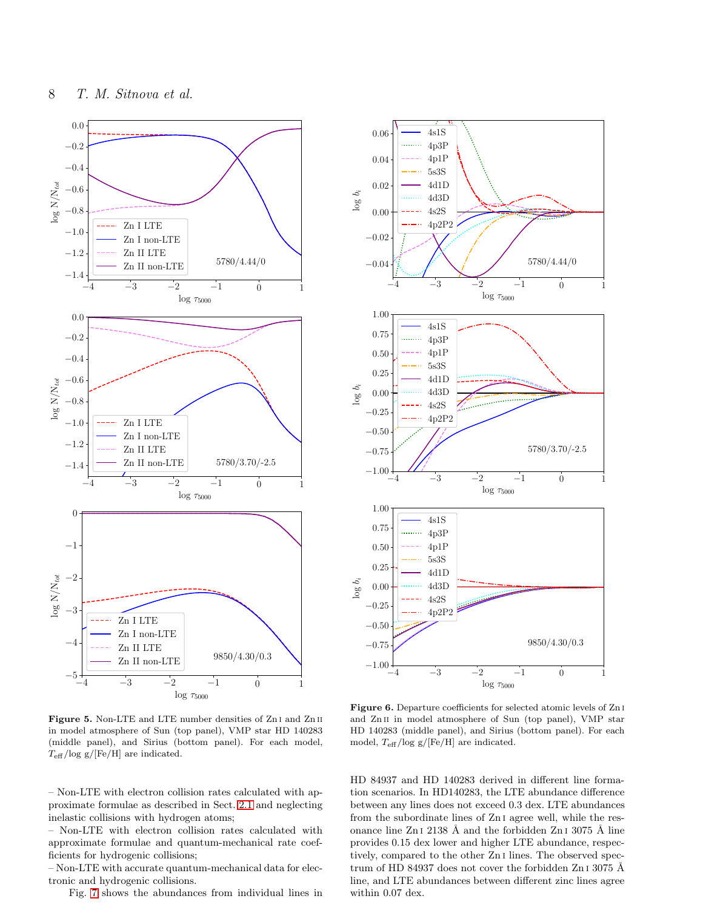<span id="page-7-1"></span><span id="page-7-0"></span>

Figure 5. Non-LTE and LTE number densities of Zn<sub>I</sub> and Zn<sub>II</sub> in model atmosphere of Sun (top panel), VMP star HD 140283 (middle panel), and Sirius (bottom panel). For each model,  $T_{\text{eff}}$ /log g/[Fe/H] are indicated.

– Non-LTE with electron collision rates calculated with approximate formulae as described in Sect. [2.1](#page-1-2) and neglecting inelastic collisions with hydrogen atoms;

– Non-LTE with electron collision rates calculated with approximate formulae and quantum-mechanical rate coefficients for hydrogenic collisions;

– Non-LTE with accurate quantum-mechanical data for electronic and hydrogenic collisions.

Fig. [7](#page-8-1) shows the abundances from individual lines in

Figure 6. Departure coefficients for selected atomic levels of Zn<sub>I</sub> and Zn<sub>II</sub> in model atmosphere of Sun (top panel), VMP star HD 140283 (middle panel), and Sirius (bottom panel). For each model,  $T_{\text{eff}}$ /log g/[Fe/H] are indicated.

HD 84937 and HD 140283 derived in different line formation scenarios. In HD140283, the LTE abundance difference between any lines does not exceed 0.3 dex. LTE abundances from the subordinate lines of Zn i agree well, while the resonance line Zn  $I$  2138 Å and the forbidden Zn  $I$  3075 Å line provides 0.15 dex lower and higher LTE abundance, respectively, compared to the other Zn i lines. The observed spectrum of HD 84937 does not cover the forbidden Zn  $13075$  Å line, and LTE abundances between different zinc lines agree within 0.07 dex.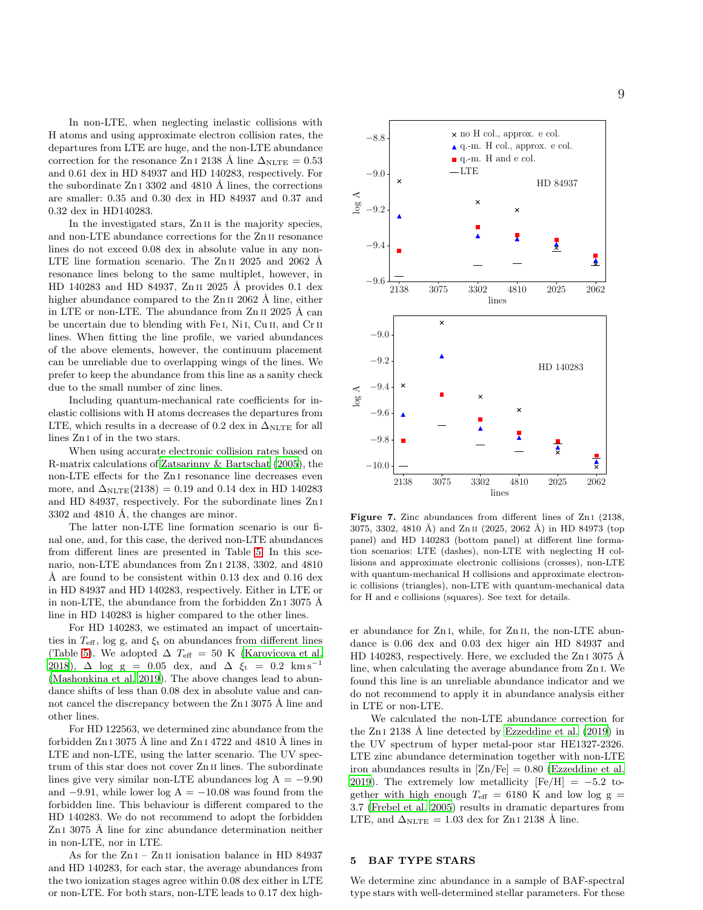In non-LTE, when neglecting inelastic collisions with H atoms and using approximate electron collision rates, the departures from LTE are huge, and the non-LTE abundance correction for the resonance Zn i 2138 Å line  $\Delta_{\text{NLTE}} = 0.53$ and 0.61 dex in HD 84937 and HD 140283, respectively. For the subordinate  $ZnI$  3302 and 4810 Å lines, the corrections are smaller: 0.35 and 0.30 dex in HD 84937 and 0.37 and 0.32 dex in HD140283.

In the investigated stars, Zn II is the majority species, and non-LTE abundance corrections for the Zn ii resonance lines do not exceed 0.08 dex in absolute value in any non-LTE line formation scenario. The Zn II 2025 and 2062 Å resonance lines belong to the same multiplet, however, in HD 140283 and HD 84937, Zn II 2025 Å provides 0.1 dex higher abundance compared to the  $Zn$  II 2062 Å line, either in LTE or non-LTE. The abundance from  $Zn$  II 2025  $\AA$  can be uncertain due to blending with Fe<sub>I</sub>, N<sub>i</sub><sub>I</sub>, Cu<sub>II</sub>, and C<sub>r<sub>II</sub></sub> lines. When fitting the line profile, we varied abundances of the above elements, however, the continuum placement can be unreliable due to overlapping wings of the lines. We prefer to keep the abundance from this line as a sanity check due to the small number of zinc lines.

Including quantum-mechanical rate coefficients for inelastic collisions with H atoms decreases the departures from LTE, which results in a decrease of 0.2 dex in  $\Delta_{NLTE}$  for all lines Zn i of in the two stars.

When using accurate electronic collision rates based on R-matrix calculations of [Zatsarinny & Bartschat \(2005](#page-14-20)), the non-LTE effects for the Zn i resonance line decreases even more, and  $\Delta_{NLTE}(2138) = 0.19$  and 0.14 dex in HD 140283 and HD 84937, respectively. For the subordinate lines Zn i  $3302$  and  $4810$  Å, the changes are minor.

The latter non-LTE line formation scenario is our final one, and, for this case, the derived non-LTE abundances from different lines are presented in Table [5.](#page-9-1) In this scenario, non-LTE abundances from Zn i 2138, 3302, and 4810 Å are found to be consistent within 0.13 dex and 0.16 dex in HD 84937 and HD 140283, respectively. Either in LTE or in non-LTE, the abundance from the forbidden  $ZnI$  3075 Å line in HD 140283 is higher compared to the other lines.

For HD 140283, we estimated an impact of uncertainties in  $T_{\text{eff}}$ , log g, and  $\xi_t$  on abundances from different lines (Table [5\)](#page-9-1). We adopted  $\Delta T_{\text{eff}} = 50 \text{ K}$  [\(Karovicova et al.](#page-14-37) [2018](#page-14-37)),  $\Delta$  log g = 0.05 dex, and  $\Delta \xi_t = 0.2$  km s<sup>-1</sup> [\(Mashonkina et al. 2019](#page-14-35)). The above changes lead to abundance shifts of less than 0.08 dex in absolute value and cannot cancel the discrepancy between the  $ZnI$  3075 Å line and other lines.

For HD 122563, we determined zinc abundance from the forbidden  $Zn I 3075 A$  line and  $Zn I 4722$  and  $4810 A$  lines in LTE and non-LTE, using the latter scenario. The UV spectrum of this star does not cover Zn ii lines. The subordinate lines give very similar non-LTE abundances log  $A = -9.90$ and  $-9.91$ , while lower log A =  $-10.08$  was found from the forbidden line. This behaviour is different compared to the HD 140283. We do not recommend to adopt the forbidden  $ZnI$  3075 Å line for zinc abundance determination neither in non-LTE, nor in LTE.

As for the Zn<sub>I</sub> – Zn<sub>II</sub> ionisation balance in HD 84937 and HD 140283, for each star, the average abundances from the two ionization stages agree within 0.08 dex either in LTE or non-LTE. For both stars, non-LTE leads to 0.17 dex high-

<span id="page-8-1"></span>

Figure 7. Zinc abundances from different lines of Zn<sub>I</sub> (2138, 3075, 3302, 4810 Å) and Zn II (2025, 2062 Å) in HD 84973 (top panel) and HD 140283 (bottom panel) at different line formation scenarios: LTE (dashes), non-LTE with neglecting H collisions and approximate electronic collisions (crosses), non-LTE with quantum-mechanical H collisions and approximate electronic collisions (triangles), non-LTE with quantum-mechanical data for H and e collisions (squares). See text for details.

er abundance for Zn i, while, for Zn ii, the non-LTE abundance is 0.06 dex and 0.03 dex higer ain HD 84937 and HD 140283, respectively. Here, we excluded the Zn<sub>I</sub> 3075 Å line, when calculating the average abundance from Zn i. We found this line is an unreliable abundance indicator and we do not recommend to apply it in abundance analysis either in LTE or non-LTE.

We calculated the non-LTE abundance correction for the  $ZnI$  2138 Å line detected by [Ezzeddine et al. \(2019](#page-13-7)) in the UV spectrum of hyper metal-poor star HE1327-2326. LTE zinc abundance determination together with non-LTE iron abundances results in  $[Zn/Fe] = 0.80$  [\(Ezzeddine et al.](#page-13-7) [2019](#page-13-7)). The extremely low metallicity  $[Fe/H] = -5.2$  together with high enough  $T_{\text{eff}}$  = 6180 K and low log g = 3.7 [\(Frebel et al. 2005\)](#page-14-38) results in dramatic departures from LTE, and  $\Delta_{NLTE} = 1.03$  dex for Zn I 2138 Å line.

## <span id="page-8-0"></span>5 BAF TYPE STARS

We determine zinc abundance in a sample of BAF-spectral type stars with well-determined stellar parameters. For these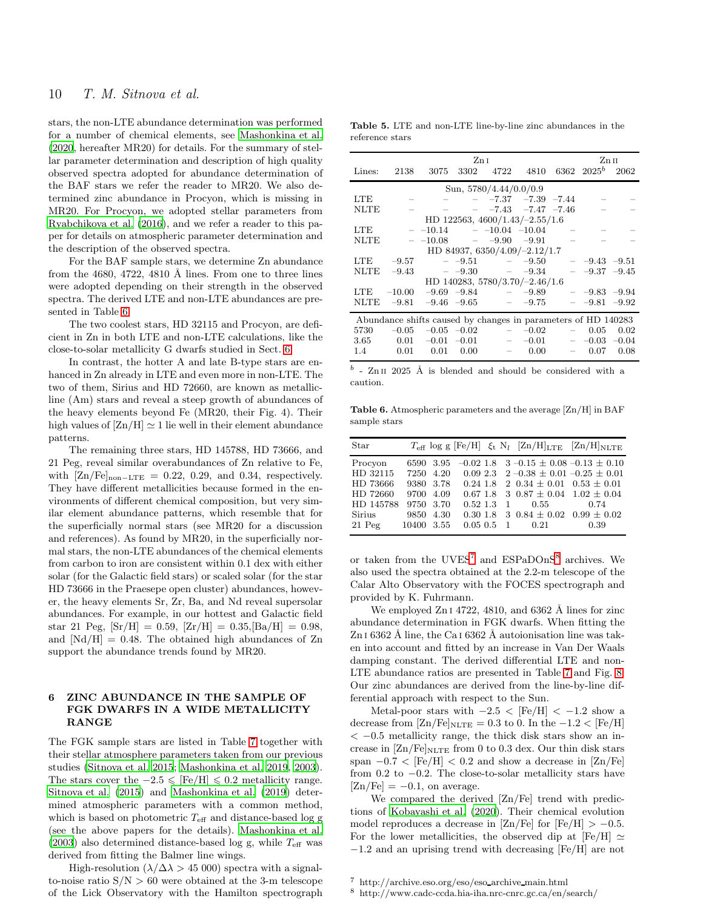stars, the non-LTE abundance determination was performed for a number of chemical elements, see [Mashonkina et al.](#page-14-39) [\(2020](#page-14-39), hereafter MR20) for details. For the summary of stellar parameter determination and description of high quality observed spectra adopted for abundance determination of the BAF stars we refer the reader to MR20. We also determined zinc abundance in Procyon, which is missing in MR20. For Procyon, we adopted stellar parameters from [Ryabchikova et al. \(2016](#page-14-40)), and we refer a reader to this paper for details on atmospheric parameter determination and the description of the observed spectra.

For the BAF sample stars, we determine Zn abundance from the 4680, 4722, 4810 Å lines. From one to three lines were adopted depending on their strength in the observed spectra. The derived LTE and non-LTE abundances are presented in Table [6.](#page-9-2)

The two coolest stars, HD 32115 and Procyon, are deficient in Zn in both LTE and non-LTE calculations, like the close-to-solar metallicity G dwarfs studied in Sect. [6.](#page-9-0)

In contrast, the hotter A and late B-type stars are enhanced in Zn already in LTE and even more in non-LTE. The two of them, Sirius and HD 72660, are known as metallicline (Am) stars and reveal a steep growth of abundances of the heavy elements beyond Fe (MR20, their Fig. 4). Their high values of  $[Zn/H] \simeq 1$  lie well in their element abundance patterns.

The remaining three stars, HD 145788, HD 73666, and 21 Peg, reveal similar overabundances of Zn relative to Fe, with  $[Zn/Fe]_{\text{non-LTE}} = 0.22, 0.29, \text{ and } 0.34, \text{ respectively.}$ They have different metallicities because formed in the environments of different chemical composition, but very similar element abundance patterns, which resemble that for the superficially normal stars (see MR20 for a discussion and references). As found by MR20, in the superficially normal stars, the non-LTE abundances of the chemical elements from carbon to iron are consistent within 0.1 dex with either solar (for the Galactic field stars) or scaled solar (for the star HD 73666 in the Praesepe open cluster) abundances, however, the heavy elements Sr, Zr, Ba, and Nd reveal supersolar abundances. For example, in our hottest and Galactic field star 21 Peg,  $[Sr/H] = 0.59$ ,  $[Zr/H] = 0.35$ ,  $[Ba/H] = 0.98$ , and  $[Nd/H] = 0.48$ . The obtained high abundances of Zn support the abundance trends found by MR20.

## <span id="page-9-0"></span>6 ZINC ABUNDANCE IN THE SAMPLE OF FGK DWARFS IN A WIDE METALLICITY RANGE

The FGK sample stars are listed in Table [7](#page-11-0) together with their stellar atmosphere parameters taken from our previous studies [\(Sitnova et al. 2015](#page-14-14); [Mashonkina et al. 2019,](#page-14-41) [2003](#page-14-42)). The stars cover the  $-2.5 \leq$  [Fe/H]  $\leq 0.2$  metallicity range. [Sitnova et al. \(2015](#page-14-14)) and [Mashonkina et al. \(2019](#page-14-41)) determined atmospheric parameters with a common method, which is based on photometric  $T_{\text{eff}}$  and distance-based log g (see the above papers for the details). [Mashonkina et al.](#page-14-42) [\(2003](#page-14-42)) also determined distance-based log g, while  $T_{\text{eff}}$  was derived from fitting the Balmer line wings.

High-resolution ( $\lambda/\Delta\lambda > 45000$ ) spectra with a signalto-noise ratio  $S/N > 60$  were obtained at the 3-m telescope of the Lick Observatory with the Hamilton spectrograph

<span id="page-9-1"></span>Table 5. LTE and non-LTE line-by-line zinc abundances in the reference stars

|             |          |                                                               | ZnI  |                          |                                         |                          |                         | Zn 11 |
|-------------|----------|---------------------------------------------------------------|------|--------------------------|-----------------------------------------|--------------------------|-------------------------|-------|
| Lines:      |          | 2138 3075 3302                                                |      | 4722                     |                                         |                          | 4810 6362 $2025^b$ 2062 |       |
|             |          |                                                               |      | Sun, $5780/4.44/0.0/0.9$ |                                         |                          |                         |       |
| LTE         |          |                                                               |      |                          | $- -7.37 -7.39 -7.44$                   |                          |                         |       |
| <b>NLTE</b> |          |                                                               |      |                          | $ -7.43$ $-7.47$ $-7.46$                |                          |                         |       |
|             |          |                                                               |      |                          | HD 122563, $4600/1.43/-2.55/1.6$        |                          |                         |       |
| LTE         |          | $ -10.14$ $ -10.04$ $-10.04$ $-$                              |      |                          |                                         |                          |                         |       |
| <b>NLTE</b> |          | $-$ -10.08 $-$ -9.90                                          |      |                          | $-9.91$                                 | $\overline{\phantom{m}}$ |                         |       |
|             |          |                                                               |      |                          | HD 84937, $6350/4.09/-2.12/1.7$         |                          |                         |       |
| LTE         | $-9.57$  |                                                               |      |                          | $-9.51 -9.50$                           |                          | $ -9.43$ $-9.51$        |       |
| NLTE        |          | $-9.43 = -9.30 = -9.34$                                       |      |                          |                                         |                          | $-$ -9.37 -9.45         |       |
|             |          |                                                               |      |                          | HD 140283, 5780/3.70/-2.46/1.6          |                          |                         |       |
| LTE.        | $-10.00$ |                                                               |      |                          | $-9.69$ $-9.84$ $-9.89$ $-9.83$ $-9.94$ |                          |                         |       |
| NLTE        | $-9.81$  |                                                               |      |                          | $-9.46$ $-9.65$ $-9.75$                 |                          | $-9.81 -9.92$           |       |
|             |          | Abundance shifts caused by changes in parameters of HD 140283 |      |                          |                                         |                          |                         |       |
| 5730        | $-0.05$  |                                                               |      |                          | $-0.05$ $-0.02$ $ -0.02$                |                          | 0.05                    | 0.02  |
| 3.65        |          | $0.01 \quad -0.01$                                            |      |                          | $-0.01$ $-0.01$ $-0.03$ $-0.04$         |                          |                         |       |
| $1.4\,$     | 0.01     | 0.01                                                          | 0.00 | $=$                      | 0.00                                    | $\sim$                   | 0.07                    | 0.08  |

<span id="page-9-2"></span> $\boldsymbol{b}$ - Zn II 2025 Å is blended and should be considered with a caution.

Table 6. Atmospheric parameters and the average [Zn/H] in BAF sample stars

| Star                                                               |            |                                                                         |                          |  |             | $T_{\text{eff}}$ log g [Fe/H] $\xi_t$ N <sub>I</sub> [Zn/H] <sub>LTE</sub> [Zn/H] <sub>NLTE</sub>                                                                                                                                |
|--------------------------------------------------------------------|------------|-------------------------------------------------------------------------|--------------------------|--|-------------|----------------------------------------------------------------------------------------------------------------------------------------------------------------------------------------------------------------------------------|
| Procyon<br>HD 32115<br>HD 73666<br>HD 72660<br>HD 145788<br>Sirius | 6590       | - 3.95<br>7250 4.20<br>9380 3.78<br>9700 4.09<br>9750 3.70<br>9850 4.30 | $0.67$ 1.8<br>$0.52$ 1.3 |  | 1 0.55 0.74 | $-0.02$ 1.8 3 $-0.15 \pm 0.08$ $-0.13 \pm 0.10$<br>$0.09\ 2.3\quad 2-0.38\pm 0.01-0.25\pm 0.01$<br>$0.24$ 1.8 2 $0.34 \pm 0.01$ $0.53 \pm 0.01$<br>3 $0.87 \pm 0.04$ $1.02 \pm 0.04$<br>$0.30\ 1.8\ 3\ 0.84\pm0.02\ 0.99\pm0.02$ |
| $21$ Peg                                                           | 10400 3.55 |                                                                         | $0.05\;0.5\;1$           |  | 0.21        | 0.39                                                                                                                                                                                                                             |

or taken from the  $UVES^7$  $UVES^7$  and  $ESPaDOnS^8$  $ESPaDOnS^8$  archives. We also used the spectra obtained at the 2.2-m telescope of the Calar Alto Observatory with the FOCES spectrograph and provided by K. Fuhrmann.

We employed  $\text{Zn}$  i 4722, 4810, and 6362 Å lines for zinc abundance determination in FGK dwarfs. When fitting the Zn I 6362 Å line, the Ca I 6362 Å autoionisation line was taken into account and fitted by an increase in Van Der Waals damping constant. The derived differential LTE and non-LTE abundance ratios are presented in Table [7](#page-11-0) and Fig. [8.](#page-10-1) Our zinc abundances are derived from the line-by-line differential approach with respect to the Sun.

Metal-poor stars with  $-2.5 <$  [Fe/H]  $< -1.2$  show a decrease from  $[Zn/Fe]_{NLTE} = 0.3$  to 0. In the  $-1.2 < [Fe/H]$  $< -0.5$  metallicity range, the thick disk stars show an increase in  $\rm [Zn/Fe]_{NLTE}$  from 0 to 0.3 dex. Our thin disk stars span  $-0.7 <$  [Fe/H]  $< 0.2$  and show a decrease in [Zn/Fe] from 0.2 to  $-0.2$ . The close-to-solar metallicity stars have  $[Zn/Fe] = -0.1$ , on average.

We compared the derived [Zn/Fe] trend with predictions of [Kobayashi et al. \(2020\)](#page-14-43). Their chemical evolution model reproduces a decrease in [Zn/Fe] for  $[Fe/H] > -0.5$ . For the lower metallicities, the observed dip at [Fe/H]  $\simeq$ −1.2 and an uprising trend with decreasing [Fe/H] are not

<sup>7</sup> http://archive.eso.org/eso/eso archive main.html

<span id="page-9-4"></span><span id="page-9-3"></span><sup>8</sup> http://www.cadc-ccda.hia-iha.nrc-cnrc.gc.ca/en/search/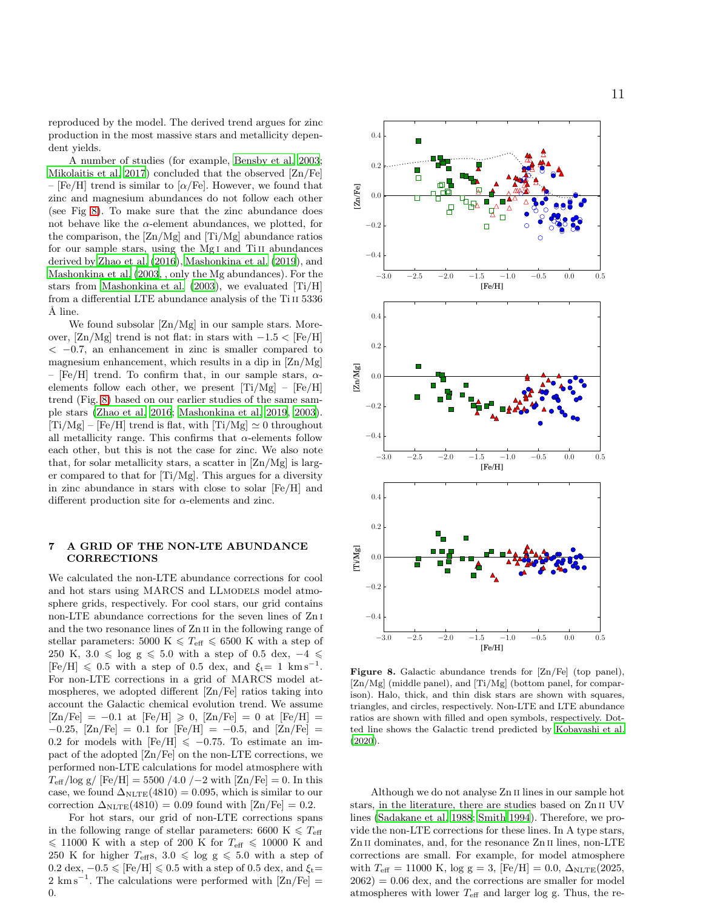reproduced by the model. The derived trend argues for zinc production in the most massive stars and metallicity dependent yields.

A number of studies (for example, [Bensby et al. 2003;](#page-13-1) [Mikolaitis et al. 2017](#page-14-11)) concluded that the observed [Zn/Fe] – [Fe/H] trend is similar to [ $\alpha$ /Fe]. However, we found that zinc and magnesium abundances do not follow each other (see Fig [8\)](#page-10-1). To make sure that the zinc abundance does not behave like the  $\alpha$ -element abundances, we plotted, for the comparison, the [Zn/Mg] and [Ti/Mg] abundance ratios for our sample stars, using the Mg<sub>I</sub> and Ti<sub>II</sub> abundances derived by [Zhao et al. \(2016](#page-14-44)), [Mashonkina et al. \(2019](#page-14-41)), and [Mashonkina et al. \(2003](#page-14-42), , only the Mg abundances). For the stars from [Mashonkina et al. \(2003](#page-14-42)), we evaluated [Ti/H] from a differential LTE abundance analysis of the Ti II 5336  $\check{A}$  line.

We found subsolar  $[Zn/Mg]$  in our sample stars. Moreover,  $[Zn/Mg]$  trend is not flat: in stars with  $-1.5 < [Fe/H]$  $<-0.7$ , an enhancement in zinc is smaller compared to magnesium enhancement, which results in a dip in [Zn/Mg] – [Fe/H] trend. To confirm that, in our sample stars,  $\alpha$ elements follow each other, we present  $[Ti/Mg] - [Fe/H]$ trend (Fig. [8\)](#page-10-1) based on our earlier studies of the same sample stars [\(Zhao et al. 2016;](#page-14-44) [Mashonkina et al. 2019](#page-14-41), [2003](#page-14-42)).  $[Ti/Mg] - [Fe/H]$  trend is flat, with  $[Ti/Mg] \simeq 0$  throughout all metallicity range. This confirms that  $\alpha$ -elements follow each other, but this is not the case for zinc. We also note that, for solar metallicity stars, a scatter in [Zn/Mg] is larger compared to that for [Ti/Mg]. This argues for a diversity in zinc abundance in stars with close to solar [Fe/H] and different production site for  $\alpha$ -elements and zinc.

## <span id="page-10-0"></span>7 A GRID OF THE NON-LTE ABUNDANCE CORRECTIONS

We calculated the non-LTE abundance corrections for cool and hot stars using MARCS and LLMODELS model atmosphere grids, respectively. For cool stars, our grid contains non-LTE abundance corrections for the seven lines of Zn i and the two resonance lines of Zn II in the following range of stellar parameters: 5000 K  $\leq T_{\text{eff}} \leq 6500$  K with a step of 250 K, 3.0  $\leq$  log g  $\leq$  5.0 with a step of 0.5 dex,  $-4 \leq$  $[Fe/H] \leq 0.5$  with a step of 0.5 dex, and  $\xi_t= 1$  km s<sup>-1</sup>. For non-LTE corrections in a grid of MARCS model atmospheres, we adopted different [Zn/Fe] ratios taking into account the Galactic chemical evolution trend. We assume  $[Zn/Fe] = -0.1$  at  $[Fe/H] \ge 0$ ,  $[Zn/Fe] = 0$  at  $[Fe/H] =$  $-0.25$ ,  $[Zn/Fe] = 0.1$  for  $[Fe/H] = -0.5$ , and  $[Zn/Fe] =$ 0.2 for models with  $[Fe/H] \le -0.75$ . To estimate an impact of the adopted [Zn/Fe] on the non-LTE corrections, we performed non-LTE calculations for model atmosphere with  $T_{\text{eff}}$ /log g/ [Fe/H] = 5500 /4.0 /−2 with [Zn/Fe] = 0. In this case, we found  $\Delta_{NLTE}(4810) = 0.095$ , which is similar to our correction  $\Delta_{\text{NLTE}}(4810) = 0.09$  found with  $[\text{Zn/Fe}] = 0.2$ .

For hot stars, our grid of non-LTE corrections spans in the following range of stellar parameters: 6600 K  $\leq T_{\text{eff}}$  $\leq$  11000 K with a step of 200 K for  $T_{\text{eff}} \leq$  10000 K and 250 K for higher  $T_{\rm eff}$ s, 3.0  $\leqslant$  log g  $\leqslant$  5.0 with a step of 0.2 dex,  $-0.5 \leq$  [Fe/H]  $\leq 0.5$  with a step of 0.5 dex, and  $\xi_t$ =  $2 \text{ km s}^{-1}$ . The calculations were performed with  $\text{Zn/Fe}$  = 0.

<span id="page-10-1"></span>

Figure 8. Galactic abundance trends for [Zn/Fe] (top panel), [Zn/Mg] (middle panel), and [Ti/Mg] (bottom panel, for comparison). Halo, thick, and thin disk stars are shown with squares, triangles, and circles, respectively. Non-LTE and LTE abundance ratios are shown with filled and open symbols, respectively. Dotted line shows the Galactic trend predicted by [Kobayashi et al.](#page-14-43) [\(2020](#page-14-43)).

Although we do not analyse Zn ii lines in our sample hot stars, in the literature, there are studies based on Zn ii UV lines [\(Sadakane et al. 1988](#page-14-45); [Smith 1994](#page-14-46)). Therefore, we provide the non-LTE corrections for these lines. In A type stars, Zn II dominates, and, for the resonance Zn II lines, non-LTE corrections are small. For example, for model atmosphere with  $T_{\text{eff}} = 11000 \text{ K}$ , log g = 3, [Fe/H] = 0.0,  $\Delta_{\text{NLTE}}(2025,$  $2062$ ) = 0.06 dex, and the corrections are smaller for model atmospheres with lower  $T_{\text{eff}}$  and larger log g. Thus, the re-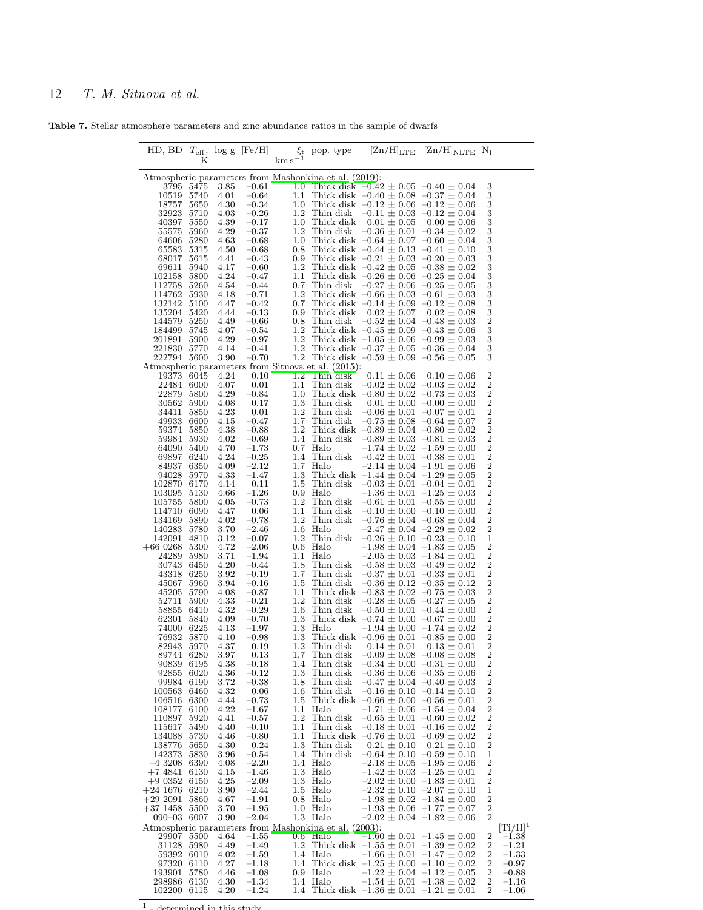<span id="page-11-0"></span>Table 7. Stellar atmosphere parameters and zinc abundance ratios in the sample of dwarfs

| HD, BD $T_{\text{eff}}$ , log g [Fe/H] |                   |              |                       |                |                                                                   |                                                                                                      | $\xi_t$ pop. type $[Zn/H]_{\text{LTE}}$ $[Zn/H]_{\text{NLTE}}$ N <sub>1</sub> |                                           |                                |
|----------------------------------------|-------------------|--------------|-----------------------|----------------|-------------------------------------------------------------------|------------------------------------------------------------------------------------------------------|-------------------------------------------------------------------------------|-------------------------------------------|--------------------------------|
|                                        | Κ                 |              |                       | $km s^{-1}$    |                                                                   |                                                                                                      |                                                                               |                                           |                                |
|                                        |                   |              |                       |                | Atmospheric parameters from Mashonkina et al. (2019):             |                                                                                                      |                                                                               |                                           |                                |
| 10519                                  | 3795 5475<br>5740 | 3.85<br>4.01 | $-0.61$<br>$-0.64$    | 1.1            |                                                                   | 1.0 Thick disk $-0.42 \pm 0.05 -0.40 \pm 0.04$<br>Thick disk $-0.40 \pm 0.08$ $-0.37 \pm 0.04$       |                                                                               | 3<br>3                                    |                                |
| 18757                                  | 5650              | 4.30         | $-0.34$               |                |                                                                   | 1.0 Thick disk $-0.12 \pm 0.06 -0.12 \pm 0.06$                                                       |                                                                               | 3                                         |                                |
| 32923                                  | 5710              | 4.03         | $-0.26$               |                |                                                                   | 1.2 Thin disk $-0.11 \pm 0.03 -0.12 \pm 0.04$                                                        |                                                                               | 3                                         |                                |
| 40397<br>55575                         | 5550<br>5960      | 4.39<br>4.29 | $-0.17$<br>$-0.37$    |                |                                                                   | 1.0 Thick disk $0.01 \pm 0.05$<br>1.2 Thin disk $-0.36 \pm 0.01 -0.34 \pm 0.02$                      | $0.00 \pm 0.06$                                                               | 3<br>3                                    |                                |
| 64606                                  | 5280              | 4.63         | $-0.68$               |                |                                                                   | 1.0 Thick disk $-0.64 \pm 0.07 -0.60 \pm 0.04$                                                       |                                                                               | 3                                         |                                |
| 65583                                  | 5315              | 4.50         | $-0.68$               |                |                                                                   | 0.8 Thick disk $-0.44 \pm 0.13$ $-0.41 \pm 0.10$                                                     |                                                                               | 3                                         |                                |
| 68017                                  | 5615              | 4.41         | $-0.43$               |                |                                                                   | 0.9 Thick disk $-0.21 \pm 0.03 -0.20 \pm 0.03$                                                       |                                                                               | 3                                         |                                |
| 69611<br>102158                        | 5940<br>5800      | 4.17<br>4.24 | $-0.60$<br>$-0.47$    |                |                                                                   | 1.2 Thick disk $-0.42 \pm 0.05$ $-0.38 \pm 0.02$<br>1.1 Thick disk $-0.26 \pm 0.06 -0.25 \pm 0.04$   |                                                                               | 3<br>3                                    |                                |
| 112758                                 | 5260              | 4.54         | $-0.44$               |                |                                                                   | 0.7 Thin disk $-0.27 \pm 0.06 -0.25 \pm 0.05$                                                        |                                                                               | 3                                         |                                |
| 114762                                 | 5930              | 4.18         | $-0.71$               |                |                                                                   | 1.2 Thick disk $-0.66 \pm 0.03$ $-0.61 \pm 0.03$<br>0.7 Thick disk $-0.14 \pm 0.09$ $-0.12 \pm 0.08$ |                                                                               | 3                                         |                                |
| 132142<br>135204 5420                  | 5100              | 4.47<br>4.44 | $-0.42$<br>$-0.13$    |                |                                                                   | 0.9 Thick disk $0.02 \pm 0.07$                                                                       | $0.02 \pm 0.08$                                                               | 3<br>3                                    |                                |
| 144579                                 | 5250              | 4.49         | $-0.66$               |                |                                                                   | 0.8 Thin disk $-0.52 \pm 0.04 -0.48 \pm 0.03$                                                        |                                                                               | $\overline{c}$                            |                                |
| 184499                                 | 5745              | 4.07         | $-0.54$               |                |                                                                   | 1.2 Thick disk $-0.45 \pm 0.09 -0.43 \pm 0.06$                                                       |                                                                               | 3                                         |                                |
| 201891                                 | 5900              | 4.29         | $-0.97$               |                |                                                                   | 1.2 Thick disk $-1.05 \pm 0.06 -0.99 \pm 0.03$                                                       |                                                                               | 3                                         |                                |
| 221830<br>222794 5600                  | 5770              | 4.14<br>3.90 | $-0.41$<br>$-0.70$    |                |                                                                   | 1.2 Thick disk $-0.37 \pm 0.05$ $-0.36 \pm 0.04$<br>1.2 Thick disk $-0.59 \pm 0.09 -0.56 \pm 0.05$   |                                                                               | 3<br>3                                    |                                |
|                                        |                   |              |                       |                | Atmospheric parameters from Sitnova et al. (2015):                |                                                                                                      |                                                                               |                                           |                                |
| 19373 6045                             |                   | 4.24         | 0.10                  |                | 1.2 Thin disk                                                     | $0.11\,\pm\,0.06$                                                                                    | $0.10 \pm 0.06$                                                               | 2                                         |                                |
| 22484                                  | 6000<br>5800      | 4.07         | 0.01                  | $1.1\,$        |                                                                   | Thin disk $-0.02 \pm 0.02 -0.03 \pm 0.02$                                                            |                                                                               | $\overline{c}$<br>$\overline{2}$          |                                |
| 22879<br>30562                         | 5900              | 4.29<br>4.08 | $-0.84$<br>0.17       | $1.0\,$        | 1.3 Thin disk                                                     | Thick disk $-0.80 \pm 0.02$ $-0.73 \pm 0.03$<br>$0.01 \pm 0.00$ -0.00 $\pm$ 0.00                     |                                                                               | $\overline{2}$                            |                                |
| 34411                                  | 5850              | 4.23         | 0.01                  | $1.2\,$        |                                                                   | Thin disk $-0.06 \pm 0.01 -0.07 \pm 0.01$                                                            |                                                                               | $\boldsymbol{2}$                          |                                |
| 49933                                  | 6600              | 4.15         | $-0.47$               | 1.7            |                                                                   | Thin disk $-0.75 \pm 0.08 -0.64 \pm 0.07$                                                            |                                                                               | $\boldsymbol{2}$                          |                                |
| 59374<br>59984                         | 5850<br>5930      | 4.38<br>4.02 | $-0.88$<br>$-0.69$    |                |                                                                   | 1.2 Thick disk $-0.89 \pm 0.04 -0.80 \pm 0.02$<br>1.4 Thin disk $-0.89 \pm 0.03$ $-0.81 \pm 0.03$    |                                                                               | $\boldsymbol{2}$<br>$\overline{2}$        |                                |
| 64090                                  | 5400              | 4.70         | $-1.73$               |                | $0.7$ Halo                                                        |                                                                                                      | $-1.74 \pm 0.02$ $-1.59 \pm 0.00$                                             | $\overline{2}$                            |                                |
| 69897                                  | 6240              | 4.24         | $-0.25$               |                | 1.4 Thin disk                                                     | $-0.42 \pm 0.01 -0.38 \pm 0.01$                                                                      |                                                                               | $\boldsymbol{2}$                          |                                |
| 84937                                  | 6350              | 4.09         | $-2.12$               |                | 1.7 Halo                                                          |                                                                                                      | $-2.14 \pm 0.04 -1.91 \pm 0.06$                                               | $\overline{c}$                            |                                |
| 94028<br>102870                        | 5970<br>6170      | 4.33<br>4.14 | $-1.47$<br>0.11       | 1.3            | 1.5 Thin disk                                                     | Thick disk $-1.44 \pm 0.04 -1.29 \pm 0.05$<br>$-0.03 \pm 0.01 -0.04 \pm 0.01$                        |                                                                               | $\boldsymbol{2}$                          |                                |
| 103095                                 | 5130              | 4.66         | $-1.26$               |                | $0.9$ Halo                                                        |                                                                                                      | $-1.36 \pm 0.01 -1.25 \pm 0.03$                                               | $\frac{2}{2}$                             |                                |
| 105755                                 | 5800              | 4.05         | $-0.73$               |                | 1.2 Thin disk                                                     | $-0.61 \pm 0.01 -0.55 \pm 0.00$                                                                      |                                                                               | $\overline{\mathbf{c}}$                   |                                |
| 114710<br>134169                       | 6090<br>5890      | 4.47<br>4.02 | 0.06<br>$-0.78$       | 1.1<br>$1.2\,$ | Thin disk<br>Thin disk                                            | $-0.10 \pm 0.00 -0.10 \pm 0.00$<br>$-0.76 \pm 0.04$ $-0.68 \pm 0.04$                                 |                                                                               | $\overline{c}$<br>$\overline{2}$          |                                |
| 140283                                 | 5780              | 3.70         | $-2.46$               |                | 1.6 Halo                                                          |                                                                                                      | $-2.47 \pm 0.04$ $-2.29 \pm 0.02$                                             | $\boldsymbol{2}$                          |                                |
| 142091                                 | 4810              | 3.12         | $-0.07$               |                | 1.2 Thin disk                                                     | $-0.26 \pm 0.10 -0.23 \pm 0.10$                                                                      |                                                                               | $\mathbf 1$                               |                                |
| $+660268$                              | 5300              | 4.72         | $-2.06$               |                | $0.6$ Halo                                                        |                                                                                                      | $-1.98 \pm 0.04$ $-1.83 \pm 0.05$                                             | $\boldsymbol{2}$<br>$\overline{2}$        |                                |
| 24289<br>30743                         | 5980<br>6450      | 3.71<br>4.20 | $-1.94$<br>$-0.44$    | 1.8            | 1.1 Halo<br>Thin disk                                             | $-0.58 \pm 0.03$ $-0.49 \pm 0.02$                                                                    | $-2.05 \pm 0.03$ $-1.84 \pm 0.01$                                             | $\,2$                                     |                                |
| 43318                                  | 6250              | 3.92         | $-0.19$               | 1.7            | Thin disk                                                         | $-0.37 \pm 0.01 -0.33 \pm 0.01$                                                                      |                                                                               | $\overline{\mathbf{c}}$                   |                                |
| 45067                                  | 5960              | 3.94         | $-0.16$               | 1.5            | Thin disk                                                         | $-0.36 \pm 0.12$ $-0.35 \pm 0.12$                                                                    |                                                                               | $\boldsymbol{2}$                          |                                |
| 45205<br>52711                         | 5790<br>5900      | 4.08<br>4.33 | $-0.87$<br>$-0.21$    | 1.1<br>$1.2\,$ |                                                                   | Thick disk $-0.83 \pm 0.02$ $-0.75 \pm 0.03$<br>Thin disk $-0.28 \pm 0.05 -0.27 \pm 0.05$            |                                                                               | $\overline{\mathbf{c}}$<br>$\overline{2}$ |                                |
| 58855                                  | 6410              | 4.32         | $-0.29$               | $1.6\,$        |                                                                   | Thin disk $-0.50 \pm 0.01 -0.44 \pm 0.00$                                                            |                                                                               | $\overline{2}$                            |                                |
| 62301                                  | 5840              | 4.09         | $-0.70$               |                |                                                                   | 1.3 Thick disk $-0.74 \pm 0.00$ $-0.67 \pm 0.00$                                                     |                                                                               | $\,2$                                     |                                |
| 74000<br>76932                         | 6225<br>5870      | 4.13<br>4.10 | $-1.97$<br>$-0.98$    | $1.3\,$        | 1.3 Halo                                                          | Thick disk $-0.96 \pm 0.01 -0.85 \pm 0.00$                                                           | $-1.94 \pm 0.00$ $-1.74 \pm 0.02$                                             | $\overline{c}$<br>$\overline{2}$          |                                |
| 82943 5970                             |                   | 4.37         | 0.19                  |                |                                                                   | 1.2 Thin disk $0.14 \pm 0.01$                                                                        | $0.13 \pm 0.01$                                                               | $\overline{2}$                            |                                |
| 89744 6280                             |                   | 3.97         | 0.13                  |                |                                                                   | 1.7 Thin disk $-0.09 \pm 0.08 -0.08 \pm 0.08$                                                        |                                                                               | $\overline{2}$                            |                                |
| 90839                                  | 6195              | 4.38         | $-0.18$               | 1.4            | Thin disk                                                         |                                                                                                      | $-0.34 \pm 0.00 -0.31 \pm 0.00$                                               | 2<br>2                                    |                                |
| 92855<br>99984                         | 6020<br>6190      | 4.36<br>3.72 | $-0.12$<br>$-0.38$    | 1.3<br>1.8     | Thin disk<br>Thin disk                                            |                                                                                                      | $-0.36 \pm 0.06 -0.35 \pm 0.06$<br>$-0.47 \pm 0.04$ $-0.40 \pm 0.03$          | $\,2$                                     |                                |
| 100563                                 | 6460              | 4.32         | 0.06                  | 1.6            | Thin disk                                                         |                                                                                                      | $-0.16 \pm 0.10 -0.14 \pm 0.10$                                               | $\overline{\mathbf{c}}$                   |                                |
| 106516                                 | 6300              | 4.44         | $-0.73$               | $1.5\,$        | Thick disk                                                        | $-0.66 \pm 0.00 -0.56 \pm 0.01$                                                                      |                                                                               | $\boldsymbol{2}$                          |                                |
| 108177<br>110897                       | 6100<br>5920      | 4.22<br>4.41 | $^{-1.67}$<br>$-0.57$ | 1.1<br>$1.2\,$ | Halo<br>Thin disk                                                 |                                                                                                      | $-1.71 \pm 0.06$ $-1.54 \pm 0.04$<br>$-0.65 \pm 0.01 -0.60 \pm 0.02$          | $\boldsymbol{2}$<br>$\overline{2}$        |                                |
| 115617                                 | 5490              | 4.40         | $-0.10$               | $1.1\,$        | Thin disk                                                         |                                                                                                      | $-0.18 \pm 0.01 -0.16 \pm 0.02$                                               | $\overline{\mathbf{c}}$                   |                                |
| 134088                                 | 5730              | 4.46         | $-0.80$               | 1.1            | Thick disk                                                        | $-0.76 \pm 0.01 -0.69 \pm 0.02$                                                                      |                                                                               | 2                                         |                                |
| 138776<br>142373                       | 5650<br>5830      | 4.30<br>3.96 | 0.24<br>$-0.54$       | $1.3\,$        | Thin disk<br>1.4 Thin disk                                        | $0.21 \pm 0.10$                                                                                      | $0.21 \pm 0.10$<br>$-0.64 \pm 0.10 -0.59 \pm 0.10$                            | $\,2$<br>$\mathbf 1$                      |                                |
| -4 3208                                | 6390              | 4.08         | $-2.20$               |                | 1.4 Halo                                                          |                                                                                                      | $-2.18 \pm 0.05 -1.95 \pm 0.06$                                               | $\,2$                                     |                                |
| $+74841$                               | 6130              | 4.15         | $-1.46$               |                | 1.3 Halo                                                          |                                                                                                      | $-1.42 \pm 0.03$ $-1.25 \pm 0.01$                                             | 2                                         |                                |
| $+90352$                               | 6150              | 4.25         | $-2.09$               |                | 1.3 Halo                                                          |                                                                                                      | $-2.02 \pm 0.00 -1.83 \pm 0.01$                                               | 2                                         |                                |
| $+24$ 1676<br>$+292091$                | 6210<br>5860      | 3.90<br>4.67 | $-2.44$<br>$-1.91$    |                | 1.5 Halo<br>0.8 Halo                                              |                                                                                                      | $-2.32 \pm 0.10$ $-2.07 \pm 0.10$<br>$-1.98 \pm 0.02$ $-1.84 \pm 0.00$        | $\mathbf 1$<br>$\,2$                      |                                |
| $+37$ 1458 5500                        |                   | 3.70         | $-1.95$               |                | 1.0 Halo                                                          |                                                                                                      | $-1.93 \pm 0.06$ $-1.77 \pm 0.07$                                             | $\,2$                                     |                                |
| 090-03 6007                            |                   | 3.90         | $-2.04$               |                | 1.3 Halo                                                          |                                                                                                      | $-2.02 \pm 0.04$ $-1.82 \pm 0.06$                                             | $\overline{2}$                            |                                |
| 29907                                  | 5500              | 4.64         |                       |                | Atmospheric parameters from Mashonkina et al. (2003):<br>0.6 Halo |                                                                                                      |                                                                               | 2                                         | $[{\rm Ti/H}]^1$<br>$^{-1.38}$ |
| 31128                                  | 5980              | 4.49         | $-1.55$<br>$-1.49$    |                |                                                                   | 1.2 Thick disk $-1.55 \pm 0.01 -1.39 \pm 0.02$                                                       | $-1.60 \pm 0.01 -1.45 \pm 0.00$                                               | $\,2$                                     | $-1.21$                        |
| 59392                                  | 6010              | 4.02         | $-1.59$               |                | 1.4 Halo                                                          |                                                                                                      | $-1.66 \pm 0.01 -1.47 \pm 0.02$                                               | $\,2$                                     | $-1.33$                        |
| 97320                                  | 6110              | 4.27         | $-1.18$               |                |                                                                   | 1.4 Thick disk $-1.25 \pm 0.00 -1.10 \pm 0.02$                                                       |                                                                               | $\boldsymbol{2}$                          | $-0.97$                        |
| 193901<br>298986                       | 5780<br>6130      | 4.46<br>4.30 | $-1.08$<br>$-1.34$    |                | 0.9 Halo<br>1.4 Halo                                              |                                                                                                      | $-1.22 \pm 0.04$ $-1.12 \pm 0.05$<br>$-1.54 \pm 0.01 -1.38 \pm 0.02$          | $\,2$<br>$\,2$                            | $-0.88$<br>$-1.16$             |
| 102200 6115                            |                   | 4.20         | $-1.24$               |                |                                                                   | 1.4 Thick disk $-1.36 \pm 0.01 -1.21 \pm 0.01$                                                       |                                                                               | $\overline{2}$                            | $-1.06$                        |
|                                        |                   |              |                       |                |                                                                   |                                                                                                      |                                                                               |                                           |                                |

 $<sup>1</sup>$  - determined in this study</sup>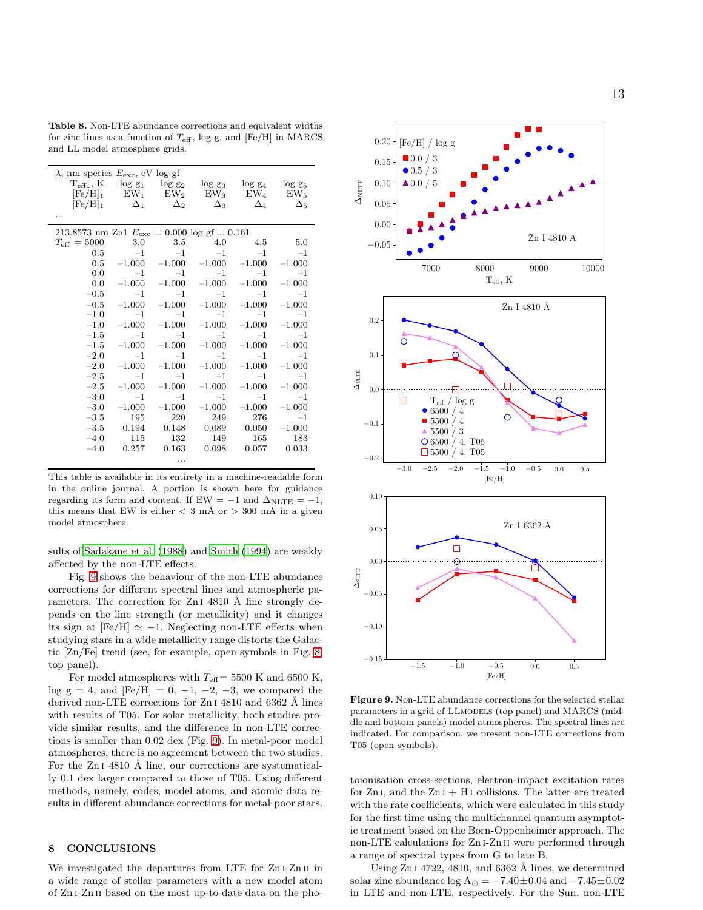Table 8. Non-LTE abundance corrections and equivalent widths for zinc lines as a function of  $T_{\text{eff}}$ , log g, and [Fe/H] in MARCS and LL model atmosphere grids.

| $\lambda$ , nm species $E_{\text{exc}}$ , eV log gf             |               |            |                                  |                       |              |  |  |  |  |
|-----------------------------------------------------------------|---------------|------------|----------------------------------|-----------------------|--------------|--|--|--|--|
| $T_{\text{eff1}}, K$                                            |               |            | $\log g_1$ $\log g_2$ $\log g_3$ | $\log$ g <sub>4</sub> | $log\ g_5$   |  |  |  |  |
| $[Fe/H]_1$                                                      | $EW_1$ $EW_2$ |            | $EW_3$                           | ${\rm EW}_4$          | ${\rm EW}_5$ |  |  |  |  |
| $[Fe/H]_1$                                                      | $\Delta_1$    | $\Delta_2$ | $\Delta_3$                       | $\Delta_4$            | $\Delta_5$   |  |  |  |  |
| .                                                               |               |            |                                  |                       |              |  |  |  |  |
| 213.8573 nm Zn1 $E_{\text{exc}} = 0.000 \log \text{gf} = 0.161$ |               |            |                                  |                       |              |  |  |  |  |
| $T_{\text{eff}} = 5000$                                         | 3.0           | 3.5        | 4.0                              | 4.5                   | 5.0          |  |  |  |  |
| 0.5                                                             | $-1$          | $-1$       | $-1$                             | $-1$                  | $-1$         |  |  |  |  |
| 0.5                                                             | $-1.000$      | $-1.000$   | $-1.000$                         | $-1.000$              | $-1.000$     |  |  |  |  |
| 0.0                                                             | $-1$          | $-1$       | $-1$                             | $-1$                  | $-1$         |  |  |  |  |
| 0.0                                                             | $-1.000$      | $-1.000$   | $-1.000$                         | $-1.000$              | $-1.000$     |  |  |  |  |
| $-0.5$                                                          | $-1$          | $-1$       | $-1$                             | $-1$                  | $-1$         |  |  |  |  |
| $-0.5$                                                          | $-1.000$      | $-1.000$   | $-1.000$                         | $-1.000$              | $-1.000$     |  |  |  |  |
| $-1.0$                                                          | $-1$          | $-1$       | $-1$                             | $-1$                  | $-1$         |  |  |  |  |
| $-1.0$                                                          | $-1.000$      | $-1.000$   | $-1.000$                         | $-1.000$              | $-1.000$     |  |  |  |  |
| $-1.5$                                                          | $-1$          | $-1$       | $-1$                             | $-1$                  | $-1$         |  |  |  |  |
| $-1.5$                                                          | $-1.000$      | $-1.000$   | $-1.000$                         | $-1.000$              | $-1.000$     |  |  |  |  |
| $-2.0$                                                          | $^{-1}$       | $-1$       | $-1$                             | $-1$                  | $-1$         |  |  |  |  |
| $-2.0$                                                          | $-1.000$      | $-1.000$   | $-1.000$                         | $-1.000$              | $-1.000$     |  |  |  |  |
| $-2.5$                                                          | $-1$          | $-1$       | $-1$                             | $-1$                  | $-1$         |  |  |  |  |
| $-2.5$                                                          | $-1.000$      | $-1.000$   | $-1.000$                         | $-1.000$              | $-1.000$     |  |  |  |  |
| $-3.0$                                                          | $-1$          | $-1$       | $-1$                             | $-1$                  | $-1$         |  |  |  |  |
| $-3.0$                                                          | $-1.000$      | $-1.000$   | $-1.000$                         | $-1.000$              | $-1.000$     |  |  |  |  |
| $-3.5$                                                          | 195           | 220        | 249                              | 276                   | $-1$         |  |  |  |  |
| $-3.5$                                                          | 0.194         | 0.148      | 0.089                            | 0.050                 | $-1.000$     |  |  |  |  |
| $-4.0$                                                          | 115           | 132        | 149                              | 165                   | 183          |  |  |  |  |
| $-4.0$                                                          | 0.257         | 0.163      | 0.098                            | 0.057                 | 0.033        |  |  |  |  |
|                                                                 |               |            |                                  |                       |              |  |  |  |  |

This table is available in its entirety in a machine-readable form in the online journal. A portion is shown here for guidance regarding its form and content. If EW =  $-1$  and  $\Delta_{NLTE} = -1$ , this means that EW is either  $< 3$  mÅ or  $> 300$  mÅ in a given model atmosphere.

sults of [Sadakane et al. \(1988](#page-14-45)) and [Smith \(1994](#page-14-46)) are weakly affected by the non-LTE effects.

Fig. [9](#page-12-1) shows the behaviour of the non-LTE abundance corrections for different spectral lines and atmospheric parameters. The correction for  $ZnI$  4810 Å line strongly depends on the line strength (or metallicity) and it changes its sign at  $[Fe/H] \simeq -1$ . Neglecting non-LTE effects when studying stars in a wide metallicity range distorts the Galactic [Zn/Fe] trend (see, for example, open symbols in Fig. [8,](#page-10-1) top panel).

For model atmospheres with  $T_{\text{eff}}= 5500$  K and 6500 K, log g = 4, and  $[Fe/H] = 0, -1, -2, -3$ , we compared the derived non-LTE corrections for Zn<sub>I</sub> 4810 and 6362 Å lines with results of T05. For solar metallicity, both studies provide similar results, and the difference in non-LTE corrections is smaller than 0.02 dex (Fig. [9\)](#page-12-1). In metal-poor model atmospheres, there is no agreement between the two studies. For the  $ZnI$  4810 Å line, our corrections are systematically 0.1 dex larger compared to those of T05. Using different methods, namely, codes, model atoms, and atomic data results in different abundance corrections for metal-poor stars.

#### <span id="page-12-0"></span>8 CONCLUSIONS

We investigated the departures from LTE for Zn<sub>I</sub>-Zn<sub>II</sub> in a wide range of stellar parameters with a new model atom of Zn i-Zn ii based on the most up-to-date data on the pho-

<span id="page-12-1"></span>

Figure 9. Non-LTE abundance corrections for the selected stellar parameters in a grid of LLMODELS (top panel) and MARCS (middle and bottom panels) model atmospheres. The spectral lines are indicated. For comparison, we present non-LTE corrections from T05 (open symbols).

toionisation cross-sections, electron-impact excitation rates for  $Zn I$ , and the  $Zn I + H I$  collisions. The latter are treated with the rate coefficients, which were calculated in this study for the first time using the multichannel quantum asymptotic treatment based on the Born-Oppenheimer approach. The non-LTE calculations for Zn i-Zn ii were performed through a range of spectral types from G to late B.

Using  $ZnI$  4722, 4810, and 6362 Å lines, we determined solar zinc abundance log  $A_{\odot} = -7.40 \pm 0.04$  and  $-7.45 \pm 0.02$ in LTE and non-LTE, respectively. For the Sun, non-LTE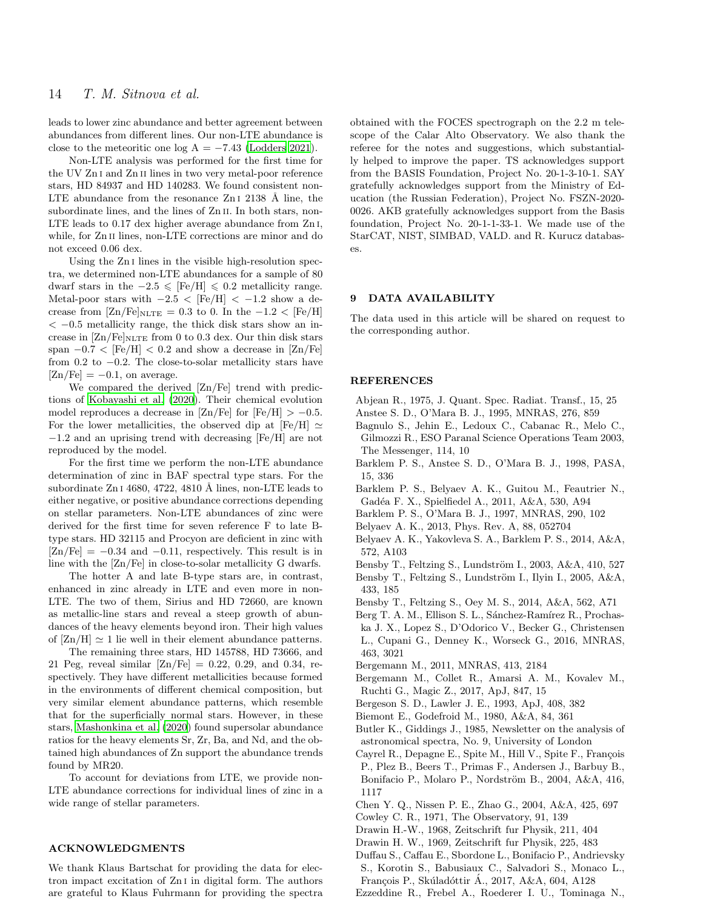leads to lower zinc abundance and better agreement between abundances from different lines. Our non-LTE abundance is close to the meteoritic one log  $A = -7.43$  [\(Lodders 2021\)](#page-14-34).

Non-LTE analysis was performed for the first time for the UV Zn i and Zn ii lines in two very metal-poor reference stars, HD 84937 and HD 140283. We found consistent non-LTE abundance from the resonance  $ZnI$  2138 Å line, the subordinate lines, and the lines of Zn II. In both stars, non-LTE leads to 0.17 dex higher average abundance from Zn i, while, for Zn<sub>II</sub> lines, non-LTE corrections are minor and do not exceed 0.06 dex.

Using the Zn i lines in the visible high-resolution spectra, we determined non-LTE abundances for a sample of 80 dwarf stars in the  $-2.5 \leq$  [Fe/H]  $\leq 0.2$  metallicity range. Metal-poor stars with  $-2.5 <$  [Fe/H]  $< -1.2$  show a decrease from  $\text{Zn/Fe}$ <sub>NLTE</sub> = 0.3 to 0. In the -1.2 <  $\text{[Fe/H]}$  $<-0.5$  metallicity range, the thick disk stars show an increase in  $\left[\text{Zn}/\text{Fe}\right]_{\text{NLTE}}$  from 0 to 0.3 dex. Our thin disk stars span  $-0.7 <$  [Fe/H]  $< 0.2$  and show a decrease in [Zn/Fe] from 0.2 to −0.2. The close-to-solar metallicity stars have  $[Zn/Fe] = -0.1$ , on average.

We compared the derived [Zn/Fe] trend with predictions of [Kobayashi et al. \(2020\)](#page-14-43). Their chemical evolution model reproduces a decrease in  $\text{Zn/Fe}$  for  $\text{[Fe/H]} > -0.5$ . For the lower metallicities, the observed dip at [Fe/H]  $\simeq$ −1.2 and an uprising trend with decreasing [Fe/H] are not reproduced by the model.

For the first time we perform the non-LTE abundance determination of zinc in BAF spectral type stars. For the subordinate  $ZnI$  4680, 4722, 4810 Å lines, non-LTE leads to either negative, or positive abundance corrections depending on stellar parameters. Non-LTE abundances of zinc were derived for the first time for seven reference F to late Btype stars. HD 32115 and Procyon are deficient in zinc with  $[Zn/Fe] = -0.34$  and  $-0.11$ , respectively. This result is in line with the [Zn/Fe] in close-to-solar metallicity G dwarfs.

The hotter A and late B-type stars are, in contrast, enhanced in zinc already in LTE and even more in non-LTE. The two of them, Sirius and HD 72660, are known as metallic-line stars and reveal a steep growth of abundances of the heavy elements beyond iron. Their high values of  $[Zn/H] \simeq 1$  lie well in their element abundance patterns.

The remaining three stars, HD 145788, HD 73666, and 21 Peg, reveal similar  $[Zn/Fe] = 0.22, 0.29,$  and 0.34, respectively. They have different metallicities because formed in the environments of different chemical composition, but very similar element abundance patterns, which resemble that for the superficially normal stars. However, in these stars, [Mashonkina et al. \(2020](#page-14-39)) found supersolar abundance ratios for the heavy elements Sr, Zr, Ba, and Nd, and the obtained high abundances of Zn support the abundance trends found by MR20.

To account for deviations from LTE, we provide non-LTE abundance corrections for individual lines of zinc in a wide range of stellar parameters.

## ACKNOWLEDGMENTS

We thank Klaus Bartschat for providing the data for electron impact excitation of Zn i in digital form. The authors are grateful to Klaus Fuhrmann for providing the spectra obtained with the FOCES spectrograph on the 2.2 m telescope of the Calar Alto Observatory. We also thank the referee for the notes and suggestions, which substantially helped to improve the paper. TS acknowledges support from the BASIS Foundation, Project No. 20-1-3-10-1. SAY gratefully acknowledges support from the Ministry of Education (the Russian Federation), Project No. FSZN-2020- 0026. AKB gratefully acknowledges support from the Basis foundation, Project No. 20-1-1-33-1. We made use of the StarCAT, NIST, SIMBAD, VALD. and R. Kurucz databases.

#### 9 DATA AVAILABILITY

The data used in this article will be shared on request to the corresponding author.

#### REFERENCES

- <span id="page-13-17"></span><span id="page-13-8"></span>Abjean R., 1975, J. Quant. Spec. Radiat. Transf., 15, 25 Anstee S. D., O'Mara B. J., 1995, MNRAS, 276, 859
- <span id="page-13-23"></span>Bagnulo S., Jehin E., Ledoux C., Cabanac R., Melo C., Gilmozzi R., ESO Paranal Science Operations Team 2003, The Messenger, 114, 10
- <span id="page-13-16"></span>Barklem P. S., Anstee S. D., O'Mara B. J., 1998, PASA, 15, 336
- <span id="page-13-13"></span>Barklem P. S., Belyaev A. K., Guitou M., Feautrier N., Gadéa F. X., Spielfiedel A., 2011, A&A, 530, A94
- <span id="page-13-18"></span>Barklem P. S., O'Mara B. J., 1997, MNRAS, 290, 102
- <span id="page-13-9"></span>Belyaev A. K., 2013, Phys. Rev. A, 88, 052704
- <span id="page-13-10"></span>Belyaev A. K., Yakovleva S. A., Barklem P. S., 2014, A&A, 572, A103
- <span id="page-13-1"></span>Bensby T., Feltzing S., Lundström I., 2003, A&A, 410, 527

<span id="page-13-4"></span>Bensby T., Feltzing S., Lundström I., Ilyin I., 2005, A&A, 433, 185

- <span id="page-13-5"></span>Bensby T., Feltzing S., Oey M. S., 2014, A&A, 562, A71
- <span id="page-13-0"></span>Berg T. A. M., Ellison S. L., Sánchez-Ramírez R., Prochaska J. X., Lopez S., D'Odorico V., Becker G., Christensen L., Cupani G., Denney K., Worseck G., 2016, MNRAS, 463, 3021
- <span id="page-13-21"></span>Bergemann M., 2011, MNRAS, 413, 2184
- <span id="page-13-22"></span>Bergemann M., Collet R., Amarsi A. M., Kovalev M., Ruchti G., Magic Z., 2017, ApJ, 847, 15
- <span id="page-13-20"></span>Bergeson S. D., Lawler J. E., 1993, ApJ, 408, 382
- <span id="page-13-15"></span>Biemont E., Godefroid M., 1980, A&A, 84, 361
- <span id="page-13-14"></span>Butler K., Giddings J., 1985, Newsletter on the analysis of astronomical spectra, No. 9, University of London
- <span id="page-13-3"></span>Cayrel R., Depagne E., Spite M., Hill V., Spite F., François
- P., Plez B., Beers T., Primas F., Andersen J., Barbuy B., Bonifacio P., Molaro P., Nordström B., 2004, A&A, 416, 1117
- <span id="page-13-2"></span>Chen Y. Q., Nissen P. E., Zhao G., 2004, A&A, 425, 697
- <span id="page-13-19"></span>Cowley C. R., 1971, The Observatory, 91, 139
- <span id="page-13-11"></span>Drawin H.-W., 1968, Zeitschrift fur Physik, 211, 404
- <span id="page-13-12"></span>Drawin H. W., 1969, Zeitschrift fur Physik, 225, 483
- <span id="page-13-6"></span>Duffau S., Caffau E., Sbordone L., Bonifacio P., Andrievsky S., Korotin S., Babusiaux C., Salvadori S., Monaco L.,
- François P., Skúladóttir A., 2017, A&A, 604, A128
- <span id="page-13-7"></span>Ezzeddine R., Frebel A., Roederer I. U., Tominaga N.,